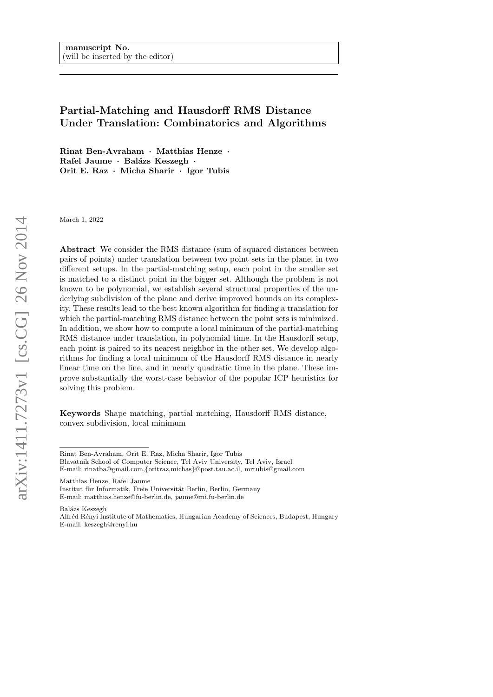# Partial-Matching and Hausdorff RMS Distance Under Translation: Combinatorics and Algorithms

Rinat Ben-Avraham · Matthias Henze · Rafel Jaume · Balázs Keszegh · Orit E. Raz · Micha Sharir · Igor Tubis

March 1, 2022

Abstract We consider the RMS distance (sum of squared distances between pairs of points) under translation between two point sets in the plane, in two different setups. In the partial-matching setup, each point in the smaller set is matched to a distinct point in the bigger set. Although the problem is not known to be polynomial, we establish several structural properties of the underlying subdivision of the plane and derive improved bounds on its complexity. These results lead to the best known algorithm for finding a translation for which the partial-matching RMS distance between the point sets is minimized. In addition, we show how to compute a local minimum of the partial-matching RMS distance under translation, in polynomial time. In the Hausdorff setup, each point is paired to its nearest neighbor in the other set. We develop algorithms for finding a local minimum of the Hausdorff RMS distance in nearly linear time on the line, and in nearly quadratic time in the plane. These improve substantially the worst-case behavior of the popular ICP heuristics for solving this problem.

Keywords Shape matching, partial matching, Hausdorff RMS distance, convex subdivision, local minimum

Matthias Henze, Rafel Jaume

Institut für Informatik, Freie Universität Berlin, Berlin, Germany E-mail: matthias.henze@fu-berlin.de, jaume@mi.fu-berlin.de

Balázs Keszegh

Rinat Ben-Avraham, Orit E. Raz, Micha Sharir, Igor Tubis

Blavatnik School of Computer Science, Tel Aviv University, Tel Aviv, Israel

E-mail: rinatba@gmail.com,{oritraz,michas}@post.tau.ac.il, mrtubis@gmail.com

Alfr´ed R´enyi Institute of Mathematics, Hungarian Academy of Sciences, Budapest, Hungary E-mail: keszegh@renyi.hu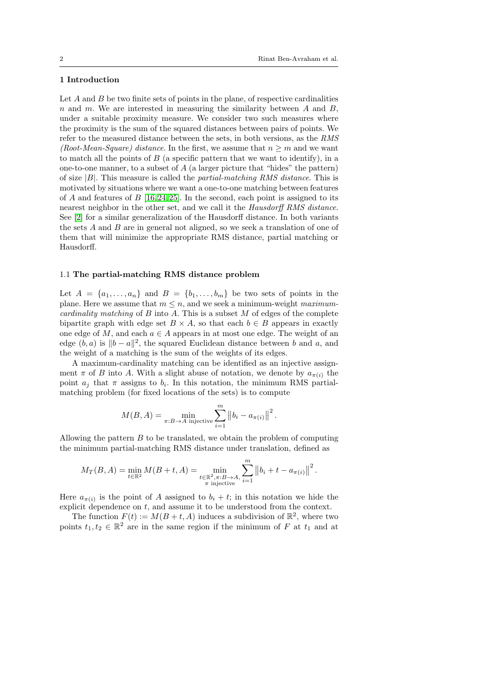# 1 Introduction

Let  $A$  and  $B$  be two finite sets of points in the plane, of respective cardinalities n and m. We are interested in measuring the similarity between  $A$  and  $B$ , under a suitable proximity measure. We consider two such measures where the proximity is the sum of the squared distances between pairs of points. We refer to the measured distance between the sets, in both versions, as the RMS (Root-Mean-Square) distance. In the first, we assume that  $n \geq m$  and we want to match all the points of  $B$  (a specific pattern that we want to identify), in a one-to-one manner, to a subset of  $A$  (a larger picture that "hides" the pattern) of size  $|B|$ . This measure is called the *partial-matching RMS distance*. This is motivated by situations where we want a one-to-one matching between features of A and features of B [\[16,](#page-30-0) [24,](#page-30-1) [25\]](#page-30-2). In the second, each point is assigned to its nearest neighbor in the other set, and we call it the Hausdorff RMS distance. See [\[2\]](#page-29-0) for a similar generalization of the Hausdorff distance. In both variants the sets A and B are in general not aligned, so we seek a translation of one of them that will minimize the appropriate RMS distance, partial matching or Hausdorff.

### 1.1 The partial-matching RMS distance problem

Let  $A = \{a_1, \ldots, a_n\}$  and  $B = \{b_1, \ldots, b_m\}$  be two sets of points in the plane. Here we assume that  $m \leq n$ , and we seek a minimum-weight maximumcardinality matching of  $B$  into  $A$ . This is a subset  $M$  of edges of the complete bipartite graph with edge set  $B \times A$ , so that each  $b \in B$  appears in exactly one edge of M, and each  $a \in A$  appears in at most one edge. The weight of an edge  $(b, a)$  is  $||b - a||^2$ , the squared Euclidean distance between b and a, and the weight of a matching is the sum of the weights of its edges.

A maximum-cardinality matching can be identified as an injective assignment  $\pi$  of B into A. With a slight abuse of notation, we denote by  $a_{\pi(i)}$  the point  $a_j$  that  $\pi$  assigns to  $b_i$ . In this notation, the minimum RMS partialmatching problem (for fixed locations of the sets) is to compute

$$
M(B, A) = \min_{\pi:B \to A \text{ injective}} \sum_{i=1}^{m} ||b_i - a_{\pi(i)}||^2.
$$

Allowing the pattern  $B$  to be translated, we obtain the problem of computing the minimum partial-matching RMS distance under translation, defined as

$$
M_T(B, A) = \min_{t \in \mathbb{R}^2} M(B + t, A) = \min_{\substack{t \in \mathbb{R}^2, \pi : B \to A, \\ \pi \text{ injective}}} \sum_{i=1}^m \left\| b_i + t - a_{\pi(i)} \right\|^2.
$$

Here  $a_{\pi(i)}$  is the point of A assigned to  $b_i + t$ ; in this notation we hide the explicit dependence on  $t$ , and assume it to be understood from the context.

The function  $F(t) := M(B + t, A)$  induces a subdivision of  $\mathbb{R}^2$ , where two points  $t_1, t_2 \in \mathbb{R}^2$  are in the same region if the minimum of F at  $t_1$  and at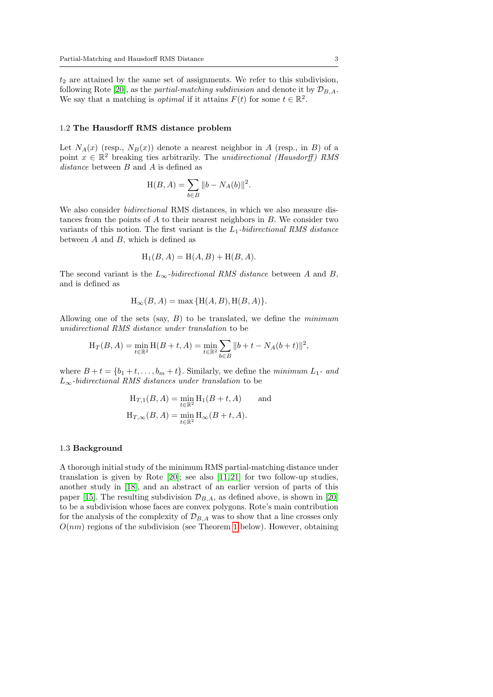$t_2$  are attained by the same set of assignments. We refer to this subdivision, following Rote [\[20\]](#page-30-3), as the *partial-matching subdivision* and denote it by  $\mathcal{D}_{B,A}$ . We say that a matching is *optimal* if it attains  $F(t)$  for some  $t \in \mathbb{R}^2$ .

#### 1.2 The Hausdorff RMS distance problem

Let  $N_A(x)$  (resp.,  $N_B(x)$ ) denote a nearest neighbor in A (resp., in B) of a point  $x \in \mathbb{R}^2$  breaking ties arbitrarily. The unidirectional (Hausdorff) RMS distance between B and A is defined as

$$
\mathcal{H}(B,A)=\sum_{b\in B}\|b-N_A(b)\|^2
$$

.

We also consider bidirectional RMS distances, in which we also measure distances from the points of  $A$  to their nearest neighbors in  $B$ . We consider two variants of this notion. The first variant is the  $L_1$ -bidirectional RMS distance between  $A$  and  $B$ , which is defined as

$$
H_1(B, A) = H(A, B) + H(B, A).
$$

The second variant is the  $L_{\infty}$ -bidirectional RMS distance between A and B, and is defined as

$$
H_{\infty}(B, A) = \max \{ H(A, B), H(B, A) \}.
$$

Allowing one of the sets (say,  $B$ ) to be translated, we define the *minimum* unidirectional RMS distance under translation to be

$$
H_T(B, A) = \min_{t \in \mathbb{R}^2} H(B + t, A) = \min_{t \in \mathbb{R}^2} \sum_{b \in B} ||b + t - N_A(b + t)||^2,
$$

where  $B + t = \{b_1 + t, \ldots, b_m + t\}$ . Similarly, we define the minimum  $L_1$ - and  $L_{\infty}$ -bidirectional RMS distances under translation to be

$$
H_{T,1}(B, A) = \min_{t \in \mathbb{R}^2} H_1(B + t, A) \quad \text{and}
$$

$$
H_{T,\infty}(B, A) = \min_{t \in \mathbb{R}^2} H_{\infty}(B + t, A).
$$

### 1.3 Background

A thorough initial study of the minimum RMS partial-matching distance under translation is given by Rote [\[20\]](#page-30-3); see also [\[11,](#page-29-1) [21\]](#page-30-4) for two follow-up studies, another study in [\[18\]](#page-30-5), and an abstract of an earlier version of parts of this paper [\[15\]](#page-30-6). The resulting subdivision  $\mathcal{D}_{B,A}$ , as defined above, is shown in [\[20\]](#page-30-3) to be a subdivision whose faces are convex polygons. Rote's main contribution for the analysis of the complexity of  $\mathcal{D}_{B,A}$  was to show that a line crosses only  $O(nm)$  regions of the subdivision (see Theorem [1](#page-5-0) below). However, obtaining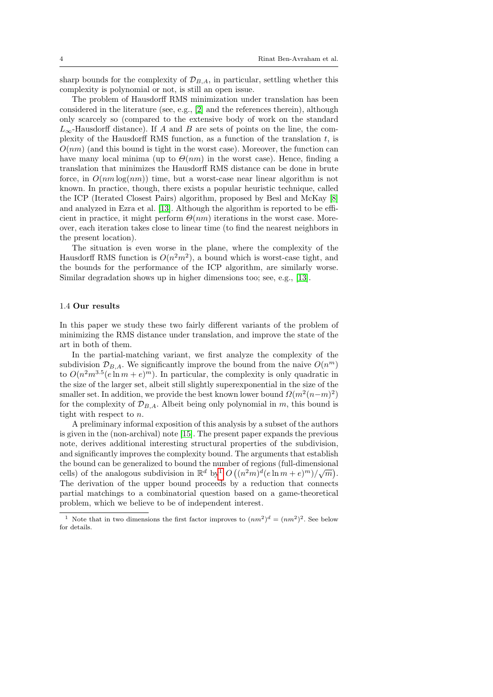sharp bounds for the complexity of  $\mathcal{D}_{B,A}$ , in particular, settling whether this complexity is polynomial or not, is still an open issue.

The problem of Hausdorff RMS minimization under translation has been considered in the literature (see, e.g., [\[2\]](#page-29-0) and the references therein), although only scarcely so (compared to the extensive body of work on the standard  $L_{\infty}$ -Hausdorff distance). If A and B are sets of points on the line, the complexity of the Hausdorff RMS function, as a function of the translation  $t$ , is  $O(nm)$  (and this bound is tight in the worst case). Moreover, the function can have many local minima (up to  $\Theta(nm)$  in the worst case). Hence, finding a translation that minimizes the Hausdorff RMS distance can be done in brute force, in  $O(nm \log(nm))$  time, but a worst-case near linear algorithm is not known. In practice, though, there exists a popular heuristic technique, called the ICP (Iterated Closest Pairs) algorithm, proposed by Besl and McKay [\[8\]](#page-29-2) and analyzed in Ezra et al. [\[13\]](#page-30-7). Although the algorithm is reported to be efficient in practice, it might perform  $\Theta(nm)$  iterations in the worst case. Moreover, each iteration takes close to linear time (to find the nearest neighbors in the present location).

The situation is even worse in the plane, where the complexity of the Hausdorff RMS function is  $O(n^2m^2)$ , a bound which is worst-case tight, and the bounds for the performance of the ICP algorithm, are similarly worse. Similar degradation shows up in higher dimensions too; see, e.g., [\[13\]](#page-30-7).

#### 1.4 Our results

In this paper we study these two fairly different variants of the problem of minimizing the RMS distance under translation, and improve the state of the art in both of them.

In the partial-matching variant, we first analyze the complexity of the subdivision  $\mathcal{D}_{B,A}$ . We significantly improve the bound from the naive  $O(n^m)$ to  $O(n^2m^{3.5}(e \ln m + e)^m)$ . In particular, the complexity is only quadratic in the size of the larger set, albeit still slightly superexponential in the size of the smaller set. In addition, we provide the best known lower bound  $\Omega(m^2(n-m)^2)$ for the complexity of  $\mathcal{D}_{B,A}$ . Albeit being only polynomial in m, this bound is tight with respect to n.

A preliminary informal exposition of this analysis by a subset of the authors is given in the (non-archival) note [\[15\]](#page-30-6). The present paper expands the previous note, derives additional interesting structural properties of the subdivision, and significantly improves the complexity bound. The arguments that establish the bound can be generalized to bound the number of regions (full-dimensional cells) of the analogous subdivision in  $\mathbb{R}^d$  by  $O((n^2m)^d(e \ln m + e)^m)/\sqrt{m})$ . The derivation of the upper bound proceeds by a reduction that connects partial matchings to a combinatorial question based on a game-theoretical problem, which we believe to be of independent interest.

<span id="page-3-0"></span><sup>&</sup>lt;sup>1</sup> Note that in two dimensions the first factor improves to  $(nm^2)^d = (nm^2)^2$ . See below for details.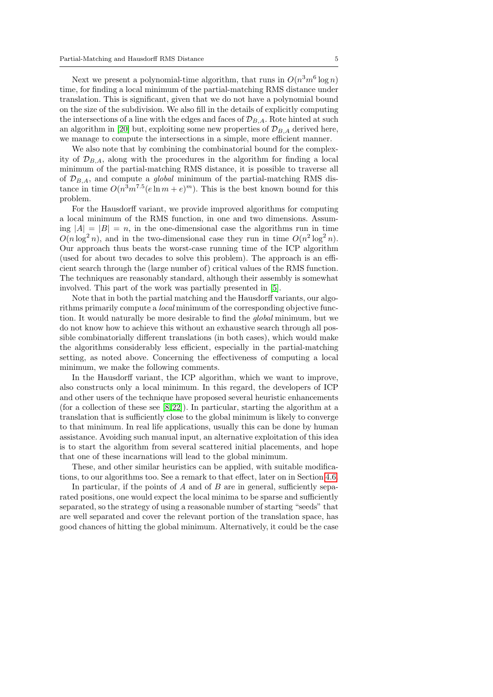Next we present a polynomial-time algorithm, that runs in  $O(n^3m^6 \log n)$ time, for finding a local minimum of the partial-matching RMS distance under translation. This is significant, given that we do not have a polynomial bound on the size of the subdivision. We also fill in the details of explicitly computing the intersections of a line with the edges and faces of  $\mathcal{D}_{B,A}$ . Rote hinted at such an algorithm in [\[20\]](#page-30-3) but, exploiting some new properties of  $\mathcal{D}_{B,A}$  derived here, we manage to compute the intersections in a simple, more efficient manner.

We also note that by combining the combinatorial bound for the complexity of  $\mathcal{D}_{B,A}$ , along with the procedures in the algorithm for finding a local minimum of the partial-matching RMS distance, it is possible to traverse all of  $\mathcal{D}_{B,A}$ , and compute a *global* minimum of the partial-matching RMS distance in time  $O(n^3m^{7.5}(e \ln m + e)^m)$ . This is the best known bound for this problem.

For the Hausdorff variant, we provide improved algorithms for computing a local minimum of the RMS function, in one and two dimensions. Assuming  $|A| = |B| = n$ , in the one-dimensional case the algorithms run in time  $O(n \log^2 n)$ , and in the two-dimensional case they run in time  $O(n^2 \log^2 n)$ . Our approach thus beats the worst-case running time of the ICP algorithm (used for about two decades to solve this problem). The approach is an efficient search through the (large number of) critical values of the RMS function. The techniques are reasonably standard, although their assembly is somewhat involved. This part of the work was partially presented in [\[5\]](#page-29-3).

Note that in both the partial matching and the Hausdorff variants, our algorithms primarily compute a local minimum of the corresponding objective function. It would naturally be more desirable to find the global minimum, but we do not know how to achieve this without an exhaustive search through all possible combinatorially different translations (in both cases), which would make the algorithms considerably less efficient, especially in the partial-matching setting, as noted above. Concerning the effectiveness of computing a local minimum, we make the following comments.

In the Hausdorff variant, the ICP algorithm, which we want to improve, also constructs only a local minimum. In this regard, the developers of ICP and other users of the technique have proposed several heuristic enhancements (for a collection of these see  $[8, 22]$  $[8, 22]$ ). In particular, starting the algorithm at a translation that is sufficiently close to the global minimum is likely to converge to that minimum. In real life applications, usually this can be done by human assistance. Avoiding such manual input, an alternative exploitation of this idea is to start the algorithm from several scattered initial placements, and hope that one of these incarnations will lead to the global minimum.

These, and other similar heuristics can be applied, with suitable modifications, to our algorithms too. See a remark to that effect, later on in Section [4.6.](#page-22-0)

In particular, if the points of  $A$  and of  $B$  are in general, sufficiently separated positions, one would expect the local minima to be sparse and sufficiently separated, so the strategy of using a reasonable number of starting "seeds" that are well separated and cover the relevant portion of the translation space, has good chances of hitting the global minimum. Alternatively, it could be the case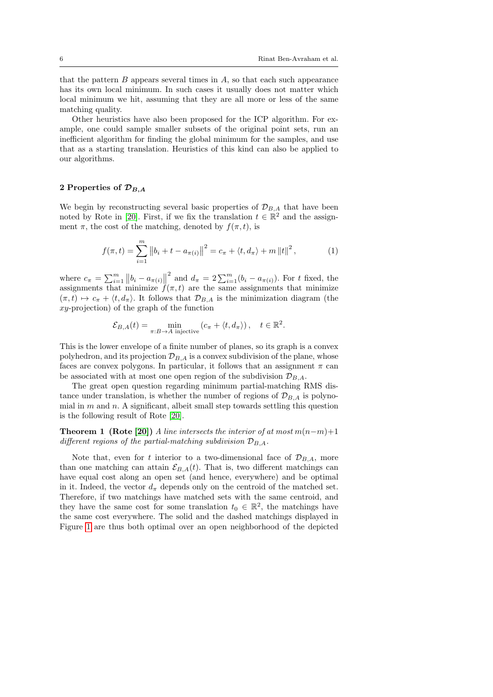that the pattern  $B$  appears several times in  $A$ , so that each such appearance has its own local minimum. In such cases it usually does not matter which local minimum we hit, assuming that they are all more or less of the same matching quality.

Other heuristics have also been proposed for the ICP algorithm. For example, one could sample smaller subsets of the original point sets, run an inefficient algorithm for finding the global minimum for the samples, and use that as a starting translation. Heuristics of this kind can also be applied to our algorithms.

### 2 Properties of  $\mathcal{D}_{B,A}$

We begin by reconstructing several basic properties of  $\mathcal{D}_{B,A}$  that have been noted by Rote in [\[20\]](#page-30-3). First, if we fix the translation  $t \in \mathbb{R}^2$  and the assignment  $\pi$ , the cost of the matching, denoted by  $f(\pi, t)$ , is

<span id="page-5-1"></span>
$$
f(\pi, t) = \sum_{i=1}^{m} ||b_i + t - a_{\pi(i)}||^2 = c_{\pi} + \langle t, d_{\pi} \rangle + m ||t||^2, \qquad (1)
$$

where  $c_{\pi} = \sum_{i=1}^{m} ||b_i - a_{\pi(i)}||$ <sup>2</sup> and  $d_{\pi} = 2 \sum_{i=1}^{m} (b_i - a_{\pi(i)})$ . For t fixed, the assignments that minimize  $f(\pi, t)$  are the same assignments that minimize  $(\pi, t) \mapsto c_{\pi} + \langle t, d_{\pi} \rangle$ . It follows that  $\mathcal{D}_{B,A}$  is the minimization diagram (the  $xy$ -projection) of the graph of the function

<span id="page-5-0"></span>
$$
\mathcal{E}_{B,A}(t) = \min_{\pi: B \to A \text{ injective}} \left( c_{\pi} + \langle t, d_{\pi} \rangle \right), \quad t \in \mathbb{R}^2.
$$

This is the lower envelope of a finite number of planes, so its graph is a convex polyhedron, and its projection  $\mathcal{D}_{BA}$  is a convex subdivision of the plane, whose faces are convex polygons. In particular, it follows that an assignment  $\pi$  can be associated with at most one open region of the subdivision  $\mathcal{D}_{B,A}$ .

The great open question regarding minimum partial-matching RMS distance under translation, is whether the number of regions of  $\mathcal{D}_{BA}$  is polynomial in  $m$  and  $n$ . A significant, albeit small step towards settling this question is the following result of Rote [\[20\]](#page-30-3).

**Theorem 1** (Rote [\[20\]](#page-30-3)) A line intersects the interior of at most  $m(n-m)+1$ different regions of the partial-matching subdivision  $\mathcal{D}_{B,A}$ .

Note that, even for t interior to a two-dimensional face of  $\mathcal{D}_{BA}$ , more than one matching can attain  $\mathcal{E}_{B,A}(t)$ . That is, two different matchings can have equal cost along an open set (and hence, everywhere) and be optimal in it. Indeed, the vector  $d_{\pi}$  depends only on the centroid of the matched set. Therefore, if two matchings have matched sets with the same centroid, and they have the same cost for some translation  $t_0 \in \mathbb{R}^2$ , the matchings have the same cost everywhere. The solid and the dashed matchings displayed in Figure [1](#page-6-0) are thus both optimal over an open neighborhood of the depicted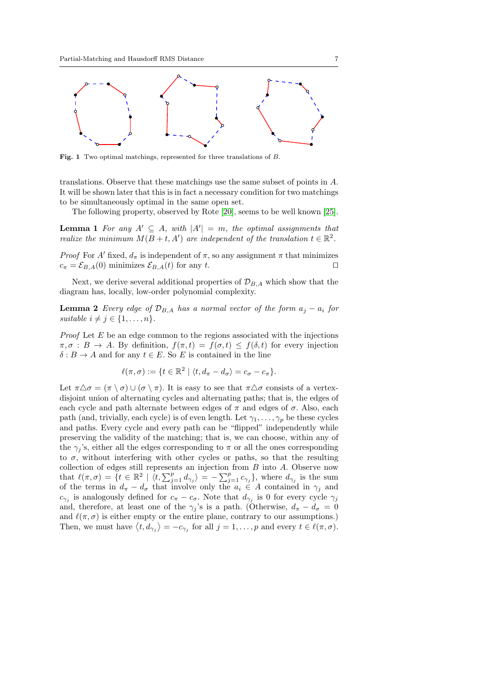

<span id="page-6-0"></span>Fig. 1 Two optimal matchings, represented for three translations of B.

translations. Observe that these matchings use the same subset of points in A. It will be shown later that this is in fact a necessary condition for two matchings to be simultaneously optimal in the same open set.

The following property, observed by Rote [\[20\]](#page-30-3), seems to be well known [\[25\]](#page-30-2).

<span id="page-6-2"></span>**Lemma 1** For any  $A' \subseteq A$ , with  $|A'| = m$ , the optimal assignments that realize the minimum  $M(B + t, A')$  are independent of the translation  $t \in \mathbb{R}^2$ .

*Proof* For A' fixed,  $d_{\pi}$  is independent of  $\pi$ , so any assignment  $\pi$  that minimizes  $c_{\pi} = \mathcal{E}_{B,A}(0)$  minimizes  $\mathcal{E}_{B,A}(t)$  for any t.

Next, we derive several additional properties of  $\mathcal{D}_{B,A}$  which show that the diagram has, locally, low-order polynomial complexity.

<span id="page-6-1"></span>**Lemma 2** Every edge of  $\mathcal{D}_{B,A}$  has a normal vector of the form  $a_j - a_i$  for suitable  $i \neq j \in \{1, \ldots, n\}.$ 

*Proof* Let  $E$  be an edge common to the regions associated with the injections  $\pi, \sigma : B \to A$ . By definition,  $f(\pi, t) = f(\sigma, t) \leq f(\delta, t)$  for every injection  $\delta: B \to A$  and for any  $t \in E$ . So E is contained in the line

$$
\ell(\pi,\sigma) := \{t \in \mathbb{R}^2 \mid \langle t, d_\pi - d_\sigma \rangle = c_\sigma - c_\pi\}.
$$

Let  $\pi \Delta \sigma = (\pi \setminus \sigma) \cup (\sigma \setminus \pi)$ . It is easy to see that  $\pi \Delta \sigma$  consists of a vertexdisjoint union of alternating cycles and alternating paths; that is, the edges of each cycle and path alternate between edges of  $\pi$  and edges of  $\sigma$ . Also, each path (and, trivially, each cycle) is of even length. Let  $\gamma_1, \ldots, \gamma_p$  be these cycles and paths. Every cycle and every path can be "flipped" independently while preserving the validity of the matching; that is, we can choose, within any of the  $\gamma_i$ 's, either all the edges corresponding to  $\pi$  or all the ones corresponding to  $\sigma$ , without interfering with other cycles or paths, so that the resulting collection of edges still represents an injection from B into A. Observe now that  $\ell(\pi, \sigma) = \{t \in \mathbb{R}^2 \mid \langle t, \sum_{j=1}^p d_{\gamma_j} \rangle = -\sum_{j=1}^p c_{\gamma_j} \},\$  where  $d_{\gamma_j}$  is the sum of the terms in  $d_{\pi} - d_{\sigma}$  that involve only the  $a_i \in A$  contained in  $\gamma_j$  and  $c_{\gamma_j}$  is analogously defined for  $c_{\pi} - c_{\sigma}$ . Note that  $d_{\gamma_j}$  is 0 for every cycle  $\gamma_j$ and, therefore, at least one of the  $\gamma_j$ 's is a path. (Otherwise,  $d_{\pi} - d_{\sigma} = 0$ and  $\ell(\pi, \sigma)$  is either empty or the entire plane, contrary to our assumptions.) Then, we must have  $\langle t, d_{\gamma_j} \rangle = -c_{\gamma_j}$  for all  $j = 1, \ldots, p$  and every  $t \in \ell(\pi, \sigma)$ .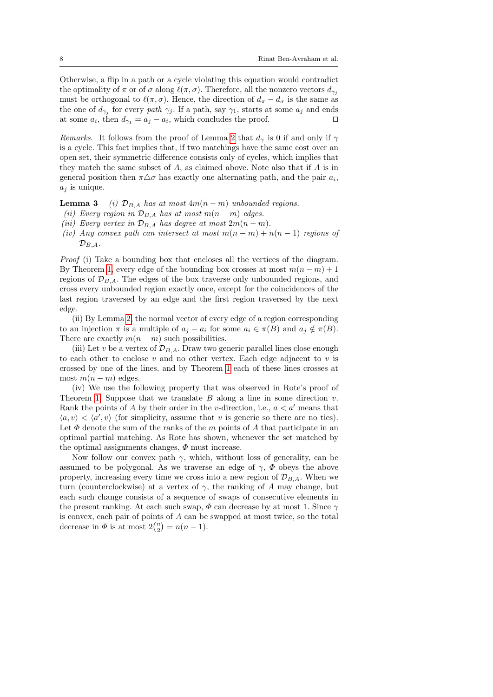Otherwise, a flip in a path or a cycle violating this equation would contradict the optimality of  $\pi$  or of  $\sigma$  along  $\ell(\pi, \sigma)$ . Therefore, all the nonzero vectors  $d_{\gamma_i}$ must be orthogonal to  $\ell(\pi, \sigma)$ . Hence, the direction of  $d_{\pi} - d_{\sigma}$  is the same as the one of  $d_{\gamma_j}$  for every path  $\gamma_j$ . If a path, say  $\gamma_1$ , starts at some  $a_j$  and ends at some  $a_i$ , then  $d_{\gamma_1} = a_j - a_i$ , which concludes the proof.  $\square$ 

Remarks. It follows from the proof of Lemma [2](#page-6-1) that  $d_{\gamma}$  is 0 if and only if  $\gamma$ is a cycle. This fact implies that, if two matchings have the same cost over an open set, their symmetric difference consists only of cycles, which implies that they match the same subset of  $A$ , as claimed above. Note also that if  $A$  is in general position then  $\pi \triangle \sigma$  has exactly one alternating path, and the pair  $a_i$ ,  $a_i$  is unique.

<span id="page-7-0"></span>**Lemma 3** (i)  $\mathcal{D}_{B,A}$  has at most  $4m(n-m)$  unbounded regions.

- <span id="page-7-2"></span>(ii) Every region in  $\mathcal{D}_{B,A}$  has at most  $m(n-m)$  edges.
- (iii) Every vertex in  $\mathcal{D}_{B,A}$  has degree at most  $2m(n-m)$ .
- <span id="page-7-1"></span>(iv) Any convex path can intersect at most  $m(n-m) + n(n-1)$  regions of  $\mathcal{D}_{B,A}.$

Proof (i) Take a bounding box that encloses all the vertices of the diagram. By Theorem [1,](#page-5-0) every edge of the bounding box crosses at most  $m(n-m)+1$ regions of  $\mathcal{D}_{B,A}$ . The edges of the box traverse only unbounded regions, and cross every unbounded region exactly once, except for the coincidences of the last region traversed by an edge and the first region traversed by the next edge.

(ii) By Lemma [2,](#page-6-1) the normal vector of every edge of a region corresponding to an injection  $\pi$  is a multiple of  $a_i - a_i$  for some  $a_i \in \pi(B)$  and  $a_j \notin \pi(B)$ . There are exactly  $m(n - m)$  such possibilities.

(iii) Let v be a vertex of  $\mathcal{D}_{B,A}$ . Draw two generic parallel lines close enough to each other to enclose  $v$  and no other vertex. Each edge adjacent to  $v$  is crossed by one of the lines, and by Theorem [1](#page-5-0) each of these lines crosses at most  $m(n-m)$  edges.

(iv) We use the following property that was observed in Rote's proof of Theorem [1.](#page-5-0) Suppose that we translate  $B$  along a line in some direction  $v$ . Rank the points of A by their order in the v-direction, i.e.,  $a < a'$  means that  $\langle a, v \rangle < \langle a', v \rangle$  (for simplicity, assume that v is generic so there are no ties). Let  $\Phi$  denote the sum of the ranks of the m points of A that participate in an optimal partial matching. As Rote has shown, whenever the set matched by the optimal assignments changes,  $\Phi$  must increase.

Now follow our convex path  $\gamma$ , which, without loss of generality, can be assumed to be polygonal. As we traverse an edge of  $\gamma$ ,  $\Phi$  obeys the above property, increasing every time we cross into a new region of  $\mathcal{D}_{B,A}$ . When we turn (counterclockwise) at a vertex of  $\gamma$ , the ranking of A may change, but each such change consists of a sequence of swaps of consecutive elements in the present ranking. At each such swap,  $\Phi$  can decrease by at most 1. Since  $\gamma$ is convex, each pair of points of A can be swapped at most twice, so the total decrease in  $\Phi$  is at most  $2{n \choose 2} = n(n-1)$ .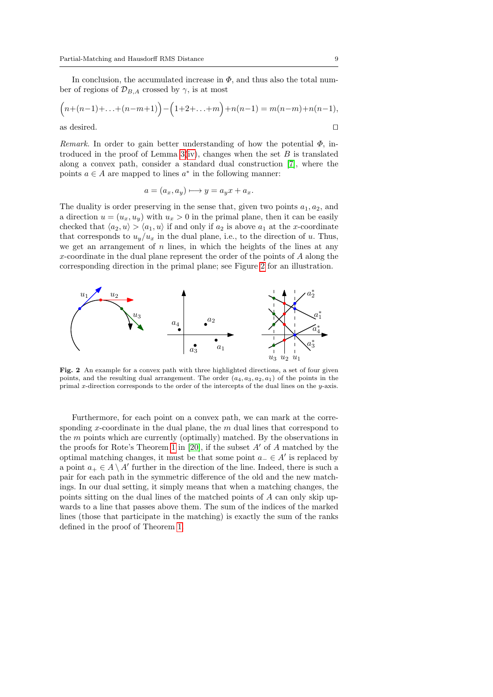In conclusion, the accumulated increase in  $\Phi$ , and thus also the total number of regions of  $\mathcal{D}_{B,A}$  crossed by  $\gamma$ , is at most

$$
(n+(n-1)+\ldots+(n-m+1)) - (1+2+\ldots+m) + n(n-1) = m(n-m)+n(n-1),
$$
as desired.

Remark. In order to gain better understanding of how the potential  $\Phi$ , introduced in the proof of Lemma  $3(iv)$  $3(iv)$ , changes when the set  $B$  is translated along a convex path, consider a standard dual construction [\[7\]](#page-29-4), where the points  $a \in A$  are mapped to lines  $a^*$  in the following manner:

$$
a = (a_x, a_y) \longmapsto y = a_y x + a_x.
$$

The duality is order preserving in the sense that, given two points  $a_1, a_2$ , and a direction  $u = (u_x, u_y)$  with  $u_x > 0$  in the primal plane, then it can be easily checked that  $\langle a_2, u \rangle > \langle a_1, u \rangle$  if and only if  $a_2$  is above  $a_1$  at the x-coordinate that corresponds to  $u_y/u_x$  in the dual plane, i.e., to the direction of u. Thus, we get an arrangement of  $n$  lines, in which the heights of the lines at any x-coordinate in the dual plane represent the order of the points of A along the corresponding direction in the primal plane; see Figure [2](#page-8-0) for an illustration.



<span id="page-8-0"></span>Fig. 2 An example for a convex path with three highlighted directions, a set of four given points, and the resulting dual arrangement. The order  $(a_4, a_3, a_2, a_1)$  of the points in the primal x-direction corresponds to the order of the intercepts of the dual lines on the  $y$ -axis.

Furthermore, for each point on a convex path, we can mark at the corresponding x-coordinate in the dual plane, the  $m$  dual lines that correspond to the m points which are currently (optimally) matched. By the observations in the proofs for Rote's Theorem [1](#page-5-0) in [\[20\]](#page-30-3), if the subset  $A'$  of  $A$  matched by the optimal matching changes, it must be that some point  $a_-\in A'$  is replaced by a point  $a_+ \in A \setminus A'$  further in the direction of the line. Indeed, there is such a pair for each path in the symmetric difference of the old and the new matchings. In our dual setting, it simply means that when a matching changes, the points sitting on the dual lines of the matched points of A can only skip upwards to a line that passes above them. The sum of the indices of the marked lines (those that participate in the matching) is exactly the sum of the ranks defined in the proof of Theorem [1.](#page-5-0)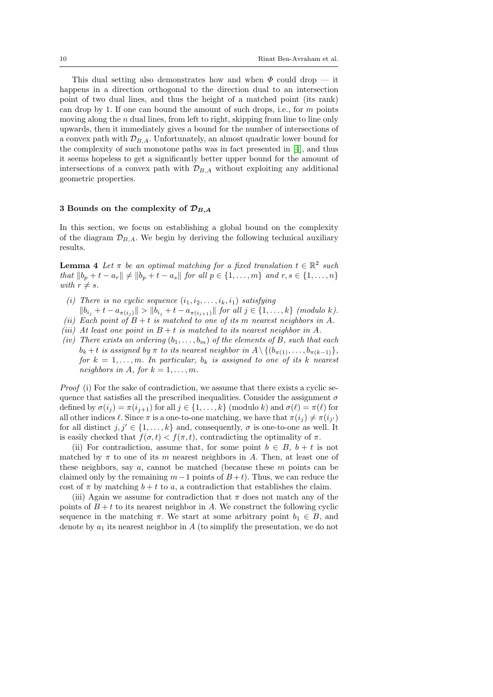This dual setting also demonstrates how and when  $\Phi$  could drop — it happens in a direction orthogonal to the direction dual to an intersection point of two dual lines, and thus the height of a matched point (its rank) can drop by 1. If one can bound the amount of such drops, i.e., for  $m$  points moving along the  $n$  dual lines, from left to right, skipping from line to line only upwards, then it immediately gives a bound for the number of intersections of a convex path with  $\mathcal{D}_{B,A}$ . Unfortunately, an almost quadratic lower bound for the complexity of such monotone paths was in fact presented in [\[4\]](#page-29-5), and thus it seems hopeless to get a significantly better upper bound for the amount of intersections of a convex path with  $\mathcal{D}_{BA}$  without exploiting any additional geometric properties.

#### 3 Bounds on the complexity of  $\mathcal{D}_{B,A}$

In this section, we focus on establishing a global bound on the complexity of the diagram  $\mathcal{D}_{B,A}$ . We begin by deriving the following technical auxiliary results.

<span id="page-9-2"></span>**Lemma 4** Let  $\pi$  be an optimal matching for a fixed translation  $t \in \mathbb{R}^2$  such *that*  $||b_p + t - a_r||$  ≠  $||b_p + t - a_s||$  *for all*  $p \in \{1, ..., m\}$  *and*  $r, s \in \{1, ..., n\}$ with  $r \neq s$ .

- <span id="page-9-0"></span>(i) There is no cyclic sequence  $(i_1, i_2, \ldots, i_k, i_1)$  satisfying
- <span id="page-9-3"></span> $||b_{i_j} + t - a_{\pi(i_j)}|| > ||b_{i_j} + t - a_{\pi(i_{j+1})}||$  for all  $j \in \{1, ..., k\}$  (modulo k). (ii) Each point of  $B + t$  is matched to one of its m nearest neighbors in A.
- <span id="page-9-1"></span>(iii) At least one point in  $B + t$  is matched to its nearest neighbor in A.
- <span id="page-9-4"></span>(iv) There exists an ordering  $(b_1, \ldots, b_m)$  of the elements of B, such that each  $b_k + t$  is assigned by  $\pi$  to its nearest neighbor in  $A \setminus \{(b_{\pi(1)}, \ldots, b_{\pi(k-1)}\},\$ for  $k = 1, \ldots, m$ . In particular,  $b_k$  is assigned to one of its k nearest neighbors in A, for  $k = 1, \ldots, m$ .

Proof (i) For the sake of contradiction, we assume that there exists a cyclic sequence that satisfies all the prescribed inequalities. Consider the assignment  $\sigma$ defined by  $\sigma(i_j) = \pi(i_{j+1})$  for all  $j \in \{1, ..., k\}$  (modulo k) and  $\sigma(\ell) = \pi(\ell)$  for all other indices  $\ell$ . Since  $\pi$  is a one-to-one matching, we have that  $\pi(i_j) \neq \pi(i_{j'})$ for all distinct  $j, j' \in \{1, ..., k\}$  and, consequently,  $\sigma$  is one-to-one as well. It is easily checked that  $f(\sigma, t) < f(\pi, t)$ , contradicting the optimality of  $\pi$ .

(ii) For contradiction, assume that, for some point  $b \in B$ ,  $b + t$  is not matched by  $\pi$  to one of its m nearest neighbors in A. Then, at least one of these neighbors, say a, cannot be matched (because these  $m$  points can be claimed only by the remaining  $m-1$  points of  $B+t$ ). Thus, we can reduce the cost of  $\pi$  by matching  $b + t$  to a, a contradiction that establishes the claim.

(iii) Again we assume for contradiction that  $\pi$  does not match any of the points of  $B + t$  to its nearest neighbor in A. We construct the following cyclic sequence in the matching  $\pi$ . We start at some arbitrary point  $b_1 \in B$ , and denote by  $a_1$  its nearest neighbor in A (to simplify the presentation, we do not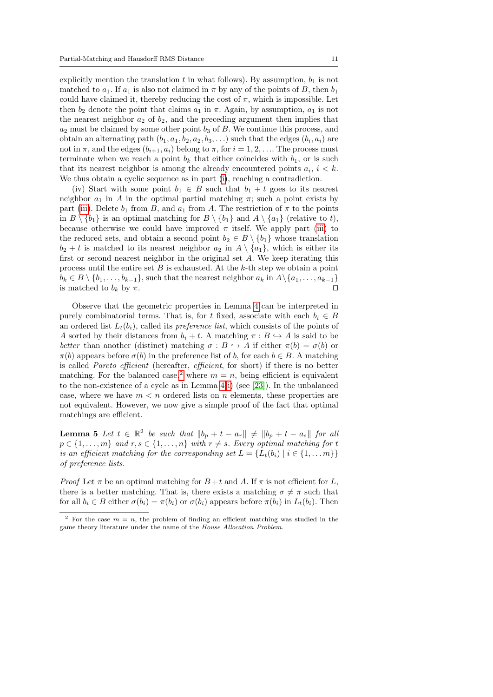explicitly mention the translation t in what follows). By assumption,  $b_1$  is not matched to  $a_1$ . If  $a_1$  is also not claimed in  $\pi$  by any of the points of B, then  $b_1$ could have claimed it, thereby reducing the cost of  $\pi$ , which is impossible. Let then  $b_2$  denote the point that claims  $a_1$  in  $\pi$ . Again, by assumption,  $a_1$  is not the nearest neighbor  $a_2$  of  $b_2$ , and the preceding argument then implies that  $a_2$  must be claimed by some other point  $b_3$  of B. We continue this process, and obtain an alternating path  $(b_1, a_1, b_2, a_2, b_3, \ldots)$  such that the edges  $(b_i, a_i)$  are not in  $\pi$ , and the edges  $(b_{i+1}, a_i)$  belong to  $\pi$ , for  $i = 1, 2, \ldots$  The process must terminate when we reach a point  $b_k$  that either coincides with  $b_1$ , or is such that its nearest neighbor is among the already encountered points  $a_i$ ,  $i < k$ . We thus obtain a cyclic sequence as in part [\(i\)](#page-9-0), reaching a contradiction.

(iv) Start with some point  $b_1 \in B$  such that  $b_1 + t$  goes to its nearest neighbor  $a_1$  in A in the optimal partial matching  $\pi$ ; such a point exists by part [\(iii\)](#page-9-1). Delete  $b_1$  from B, and  $a_1$  from A. The restriction of  $\pi$  to the points in  $B \setminus \{b_1\}$  is an optimal matching for  $B \setminus \{b_1\}$  and  $A \setminus \{a_1\}$  (relative to t), because otherwise we could have improved  $\pi$  itself. We apply part [\(iii\)](#page-9-1) to the reduced sets, and obtain a second point  $b_2 \in B \setminus \{b_1\}$  whose translation  $b_2 + t$  is matched to its nearest neighbor  $a_2$  in  $A \setminus \{a_1\}$ , which is either its first or second nearest neighbor in the original set A. We keep iterating this process until the entire set  $B$  is exhausted. At the  $k$ -th step we obtain a point  $b_k \in B \setminus \{b_1, \ldots, b_{k-1}\}\$ , such that the nearest neighbor  $a_k$  in  $A \setminus \{a_1, \ldots, a_{k-1}\}\$  is matched to  $b_k$  by  $\pi$ is matched to  $b_k$  by  $\pi$ .

Observe that the geometric properties in Lemma [4](#page-9-2) can be interpreted in purely combinatorial terms. That is, for t fixed, associate with each  $b_i \in B$ an ordered list  $L_t(b_i)$ , called its *preference list*, which consists of the points of A sorted by their distances from  $b_i + t$ . A matching  $\pi : B \hookrightarrow A$  is said to be better than another (distinct) matching  $\sigma : B \hookrightarrow A$  if either  $\pi(b) = \sigma(b)$  or  $\pi(b)$  appears before  $\sigma(b)$  in the preference list of b, for each  $b \in B$ . A matching is called *Pareto efficient* (hereafter, *efficient*, for short) if there is no better matching. For the balanced case,<sup>[2](#page-10-0)</sup> where  $m = n$ , being efficient is equivalent to the non-existence of a cycle as in Lemma [4\(](#page-9-2)[i\)](#page-9-0) (see [\[23\]](#page-30-9)). In the unbalanced case, where we have  $m < n$  ordered lists on n elements, these properties are not equivalent. However, we now give a simple proof of the fact that optimal matchings are efficient.

<span id="page-10-1"></span>**Lemma 5** Let  $t \in \mathbb{R}^2$  be such that  $||b_p + t - a_r|| \neq ||b_p + t - a_s||$  for all  $p \in \{1, \ldots, m\}$  and  $r, s \in \{1, \ldots, n\}$  with  $r \neq s$ . Every optimal matching for t is an efficient matching for the corresponding set  $L = \{L_t(b_i) | i \in \{1, ..., m\}\}\$ of preference lists.

*Proof* Let  $\pi$  be an optimal matching for  $B+t$  and A. If  $\pi$  is not efficient for L, there is a better matching. That is, there exists a matching  $\sigma \neq \pi$  such that for all  $b_i \in B$  either  $\sigma(b_i) = \pi(b_i)$  or  $\sigma(b_i)$  appears before  $\pi(b_i)$  in  $L_t(b_i)$ . Then

<span id="page-10-0"></span><sup>&</sup>lt;sup>2</sup> For the case  $m = n$ , the problem of finding an efficient matching was studied in the game theory literature under the name of the House Allocation Problem.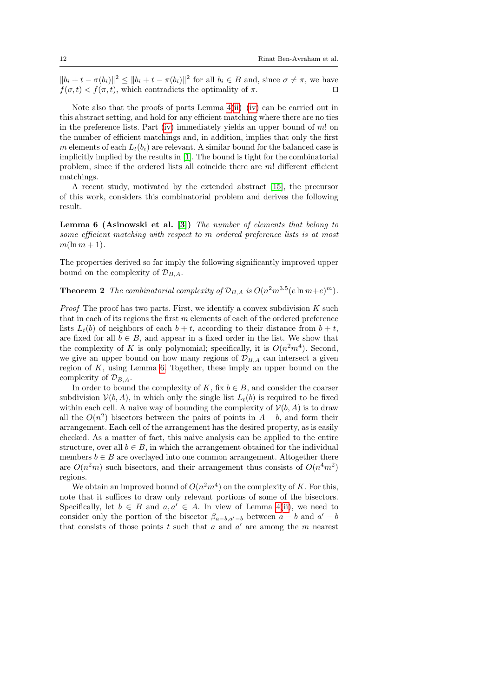$||b_i + t - \sigma(b_i)||^2 \le ||b_i + t - \pi(b_i)||^2$  for all  $b_i \in B$  and, since  $\sigma \neq \pi$ , we have  $f(\sigma, t) < f(\pi, t)$ , which contradicts the optimality of  $\pi$ .

Note also that the proofs of parts Lemma  $4(ii)$  $4(ii)$ –[\(iv\)](#page-9-4) can be carried out in this abstract setting, and hold for any efficient matching where there are no ties in the preference lists. Part [\(iv\)](#page-9-4) immediately yields an upper bound of  $m!$  on the number of efficient matchings and, in addition, implies that only the first m elements of each  $L_t(b_i)$  are relevant. A similar bound for the balanced case is implicitly implied by the results in [\[1\]](#page-29-6). The bound is tight for the combinatorial problem, since if the ordered lists all coincide there are  $m!$  different efficient matchings.

A recent study, motivated by the extended abstract [\[15\]](#page-30-6), the precursor of this work, considers this combinatorial problem and derives the following result.

<span id="page-11-0"></span>Lemma 6 (Asinowski et al. [\[3\]](#page-29-7)) The number of elements that belong to some efficient matching with respect to m ordered preference lists is at most  $m(\ln m + 1)$ .

The properties derived so far imply the following significantly improved upper bound on the complexity of  $\mathcal{D}_{B,A}$ .

<span id="page-11-1"></span>**Theorem 2** The combinatorial complexity of  $\mathcal{D}_{B,A}$  is  $O(n^2m^{3.5}(e \ln m + e)^m)$ .

*Proof* The proof has two parts. First, we identify a convex subdivision  $K$  such that in each of its regions the first  $m$  elements of each of the ordered preference lists  $L_t(b)$  of neighbors of each  $b + t$ , according to their distance from  $b + t$ , are fixed for all  $b \in B$ , and appear in a fixed order in the list. We show that the complexity of K is only polynomial; specifically, it is  $O(n^2m^4)$ . Second, we give an upper bound on how many regions of  $\mathcal{D}_{B,A}$  can intersect a given region of K, using Lemma [6.](#page-11-0) Together, these imply an upper bound on the complexity of  $\mathcal{D}_{B,A}$ .

In order to bound the complexity of K, fix  $b \in B$ , and consider the coarser subdivision  $V(b, A)$ , in which only the single list  $L_t(b)$  is required to be fixed within each cell. A naive way of bounding the complexity of  $\mathcal{V}(b, A)$  is to draw all the  $O(n^2)$  bisectors between the pairs of points in  $A - b$ , and form their arrangement. Each cell of the arrangement has the desired property, as is easily checked. As a matter of fact, this naive analysis can be applied to the entire structure, over all  $b \in B$ , in which the arrangement obtained for the individual members  $b \in B$  are overlayed into one common arrangement. Altogether there are  $O(n^2m)$  such bisectors, and their arrangement thus consists of  $O(n^4m^2)$ regions.

We obtain an improved bound of  $O(n^2m^4)$  on the complexity of K. For this, note that it suffices to draw only relevant portions of some of the bisectors. Specifically, let  $b \in B$  and  $a, a' \in A$ . In view of Lemma [4\(](#page-9-2)[ii\)](#page-9-3), we need to consider only the portion of the bisector  $\beta_{a-b,a'-b}$  between  $a-b$  and  $a'-b$ that consists of those points t such that a and  $a'$  are among the m nearest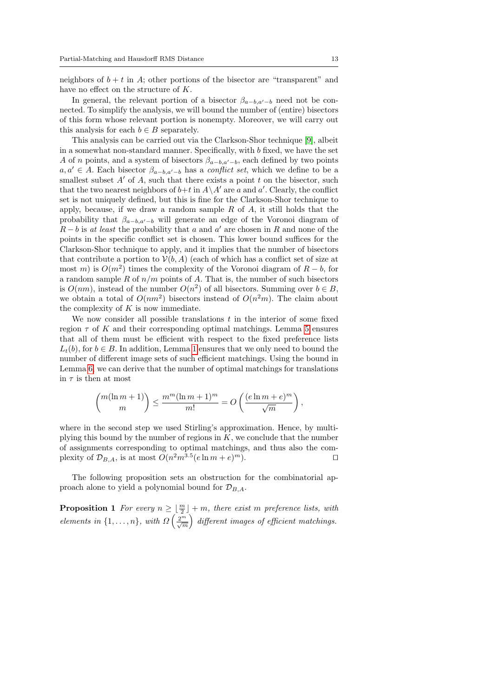neighbors of  $b + t$  in A; other portions of the bisector are "transparent" and have no effect on the structure of K.

In general, the relevant portion of a bisector  $\beta_{a-b,a'-b}$  need not be connected. To simplify the analysis, we will bound the number of (entire) bisectors of this form whose relevant portion is nonempty. Moreover, we will carry out this analysis for each  $b \in B$  separately.

This analysis can be carried out via the Clarkson-Shor technique [\[9\]](#page-29-8), albeit in a somewhat non-standard manner. Specifically, with b fixed, we have the set A of n points, and a system of bisectors  $\beta_{a-b,a'-b}$ , each defined by two points  $a, a' \in A$ . Each bisector  $\beta_{a-b,a'-b}$  has a *conflict set*, which we define to be a smallest subset  $A'$  of  $A$ , such that there exists a point  $t$  on the bisector, such that the two nearest neighbors of  $b+t$  in  $A\setminus A'$  are a and a'. Clearly, the conflict set is not uniquely defined, but this is fine for the Clarkson-Shor technique to apply, because, if we draw a random sample  $R$  of  $A$ , it still holds that the probability that  $\beta_{a-b,a'-b}$  will generate an edge of the Voronoi diagram of  $R - b$  is at least the probability that a and a' are chosen in R and none of the points in the specific conflict set is chosen. This lower bound suffices for the Clarkson-Shor technique to apply, and it implies that the number of bisectors that contribute a portion to  $\mathcal{V}(b, A)$  (each of which has a conflict set of size at most m) is  $O(m^2)$  times the complexity of the Voronoi diagram of  $R - b$ , for a random sample  $R$  of  $n/m$  points of  $A$ . That is, the number of such bisectors is  $O(nm)$ , instead of the number  $O(n^2)$  of all bisectors. Summing over  $b \in B$ , we obtain a total of  $O(nm^2)$  bisectors instead of  $O(n^2m)$ . The claim about the complexity of  $K$  is now immediate.

We now consider all possible translations  $t$  in the interior of some fixed region  $\tau$  of K and their corresponding optimal matchings. Lemma [5](#page-10-1) ensures that all of them must be efficient with respect to the fixed preference lists  $L_t(b)$ , for  $b \in B$ . In addition, Lemma [1](#page-6-2) ensures that we only need to bound the number of different image sets of such efficient matchings. Using the bound in Lemma [6,](#page-11-0) we can derive that the number of optimal matchings for translations in  $\tau$  is then at most

$$
\binom{m(\ln m+1)}{m} \le \frac{m^m(\ln m+1)^m}{m!} = O\left(\frac{(e\ln m+e)^m}{\sqrt{m}}\right),
$$

where in the second step we used Stirling's approximation. Hence, by multiplying this bound by the number of regions in  $K$ , we conclude that the number of assignments corresponding to optimal matchings, and thus also the complexity of  $\mathcal{D}_{B,A}$ , is at most  $O(n^2m^{3.5}(e \ln m + e))$  $\Box$  m).

The following proposition sets an obstruction for the combinatorial approach alone to yield a polynomial bound for  $\mathcal{D}_{B,A}$ .

**Proposition 1** For every  $n \geq \lfloor \frac{m}{2} \rfloor + m$ , there exist m preference lists, with elements in  $\{1,\ldots,n\}$ , with  $\Omega\left(\frac{2^m}{\sqrt{m}}\right)$  different images of efficient matchings.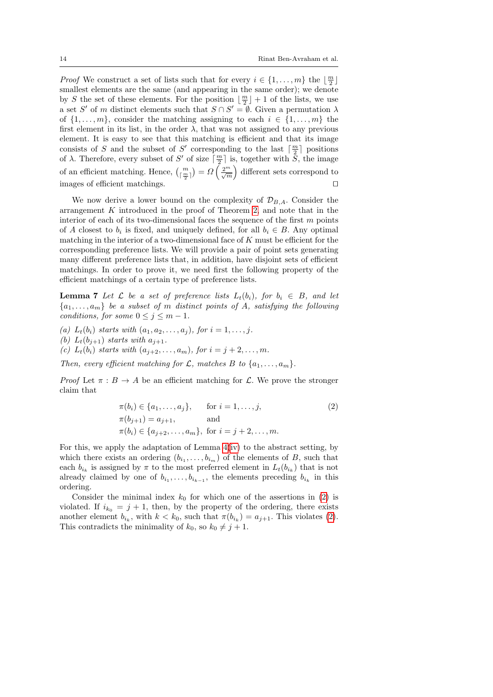*Proof* We construct a set of lists such that for every  $i \in \{1, ..., m\}$  the  $\lfloor \frac{m}{2} \rfloor$ smallest elements are the same (and appearing in the same order); we denote by S the set of these elements. For the position  $\lfloor \frac{m}{2} \rfloor + 1$  of the lists, we use a set S' of m distinct elements such that  $S \cap S' = \emptyset$ . Given a permutation  $\lambda$ of  $\{1, \ldots, m\}$ , consider the matching assigning to each  $i \in \{1, \ldots, m\}$  the first element in its list, in the order  $\lambda$ , that was not assigned to any previous element. It is easy to see that this matching is efficient and that its image consists of S and the subset of S' corresponding to the last  $\lceil \frac{m}{2} \rceil$  positions of λ. Therefore, every subset of S' of size  $\lceil \frac{m}{2} \rceil$  is, together with S, the image of an efficient matching. Hence,  $\binom{m}{\lceil \frac{m}{2} \rceil} = \Omega \left( \frac{2^m}{\sqrt{m}} \right)$  different sets correspond to images of efficient matchings.  $\Box$ 

We now derive a lower bound on the complexity of  $\mathcal{D}_{B,A}$ . Consider the arrangement K introduced in the proof of Theorem [2,](#page-11-1) and note that in the interior of each of its two-dimensional faces the sequence of the first  $m$  points of A closest to  $b_i$  is fixed, and uniquely defined, for all  $b_i \in B$ . Any optimal matching in the interior of a two-dimensional face of  $K$  must be efficient for the corresponding preference lists. We will provide a pair of point sets generating many different preference lists that, in addition, have disjoint sets of efficient matchings. In order to prove it, we need first the following property of the efficient matchings of a certain type of preference lists.

<span id="page-13-1"></span>**Lemma 7** Let  $\mathcal L$  be a set of preference lists  $L_t(b_i)$ , for  $b_i \in B$ , and let  ${a_1, \ldots, a_m}$  be a subset of m distinct points of A, satisfying the following conditions, for some  $0 \le j \le m-1$ .

(a)  $L_t(b_i)$  starts with  $(a_1, a_2, \ldots, a_j)$ , for  $i = 1, \ldots, j$ . (b)  $L_t(b_{j+1})$  starts with  $a_{j+1}$ . (c)  $L_t(b_i)$  starts with  $(a_{i+2},..., a_m)$ , for  $i = j+2,..., m$ .

Then, every efficient matching for  $\mathcal{L}$ , matches B to  $\{a_1, \ldots, a_m\}$ .

*Proof* Let  $\pi : B \to A$  be an efficient matching for L. We prove the stronger claim that

<span id="page-13-0"></span>
$$
\pi(b_i) \in \{a_1, \dots, a_j\}, \quad \text{for } i = 1, \dots, j,
$$
  
\n
$$
\pi(b_{j+1}) = a_{j+1}, \quad \text{and}
$$
  
\n
$$
\pi(b_i) \in \{a_{j+2}, \dots, a_m\}, \text{ for } i = j+2, \dots, m.
$$
\n(2)

For this, we apply the adaptation of Lemma [4\(](#page-9-2)[iv\)](#page-9-4) to the abstract setting, by which there exists an ordering  $(b_{i_1}, \ldots, b_{i_m})$  of the elements of B, such that each  $b_{i_k}$  is assigned by  $\pi$  to the most preferred element in  $L_t(b_{i_k})$  that is not already claimed by one of  $b_{i_1}, \ldots, b_{i_{k-1}}$ , the elements preceding  $b_{i_k}$  in this ordering.

Consider the minimal index  $k_0$  for which one of the assertions in [\(2\)](#page-13-0) is violated. If  $i_{k_0} = j + 1$ , then, by the property of the ordering, there exists another element  $b_{i_k}$ , with  $k < k_0$ , such that  $\pi(b_{i_k}) = a_{j+1}$ . This violates [\(2\)](#page-13-0). This contradicts the minimality of  $k_0$ , so  $k_0 \neq j + 1$ .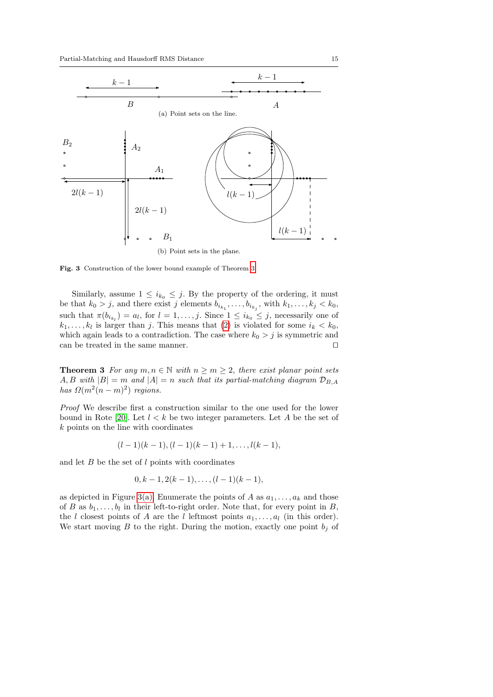<span id="page-14-1"></span>

<span id="page-14-2"></span>Fig. 3 Construction of the lower bound example of Theorem [3.](#page-14-0)

Similarly, assume  $1 \leq i_{k_0} \leq j$ . By the property of the ordering, it must be that  $k_0 > j$ , and there exist j elements  $b_{i_{k_1}}, \ldots, b_{i_{k_j}},$  with  $k_1, \ldots, k_j < k_0$ , such that  $\pi(b_{i_{k_l}}) = a_l$ , for  $l = 1, \ldots, j$ . Since  $1 \leq i_{k_0} \leq j$ , necessarily one of  $k_1, \ldots, k_l$  is larger than j. This means that [\(2\)](#page-13-0) is violated for some  $i_k < k_0$ , which again leads to a contradiction. The case where  $k_0 > j$  is symmetric and can be treated in the same manner.  $\hfill \Box$ 

<span id="page-14-0"></span>**Theorem 3** For any  $m, n \in \mathbb{N}$  with  $n \geq m \geq 2$ , there exist planar point sets A, B with  $|B| = m$  and  $|A| = n$  such that its partial-matching diagram  $\mathcal{D}_{B,A}$ has  $\Omega(m^2(n-m)^2)$  regions.

Proof We describe first a construction similar to the one used for the lower bound in Rote [\[20\]](#page-30-3). Let  $l < k$  be two integer parameters. Let A be the set of k points on the line with coordinates

$$
(l-1)(k-1), (l-1)(k-1)+1, \ldots, l(k-1),
$$

and let  $B$  be the set of  $l$  points with coordinates

$$
0, k-1, 2(k-1), \ldots, (l-1)(k-1),
$$

as depicted in Figure [3\(a\).](#page-14-1) Enumerate the points of A as  $a_1, \ldots, a_k$  and those of B as  $b_1, \ldots, b_l$  in their left-to-right order. Note that, for every point in B, the l closest points of A are the l leftmost points  $a_1, \ldots, a_l$  (in this order). We start moving B to the right. During the motion, exactly one point  $b_i$  of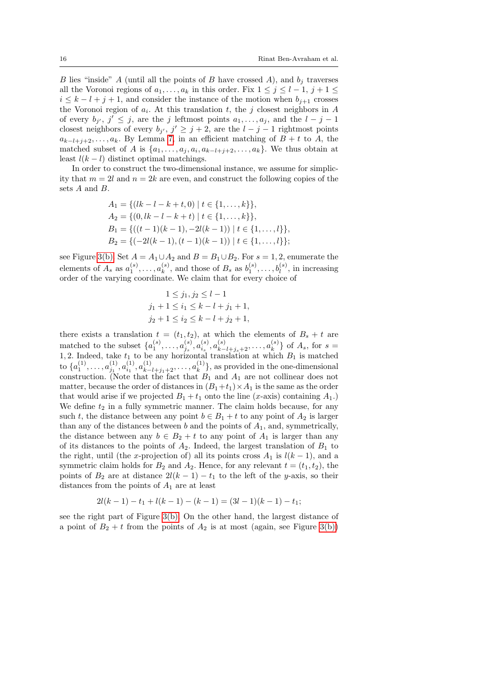B lies "inside" A (until all the points of B have crossed A), and  $b_i$  traverses all the Voronoi regions of  $a_1, \ldots, a_k$  in this order. Fix  $1 \leq j \leq l-1$ ,  $j+1 \leq j \leq k-1$  $i \leq k - l + j + 1$ , and consider the instance of the motion when  $b_{j+1}$  crosses the Voronoi region of  $a_i$ . At this translation t, the j closest neighbors in A of every  $b_{j'}$ ,  $j' \leq j$ , are the j leftmost points  $a_1, \ldots, a_j$ , and the  $l - j - 1$ closest neighbors of every  $b_{j'}$ ,  $j' \ge j+2$ , are the  $l - j - 1$  rightmost points  $a_{k-l+j+2}, \ldots, a_k$ . By Lemma [7,](#page-13-1) in an efficient matching of  $B + t$  to A, the matched subset of A is  $\{a_1, \ldots, a_j, a_i, a_{k-l+j+2}, \ldots, a_k\}$ . We thus obtain at least  $l(k - l)$  distinct optimal matchings.

In order to construct the two-dimensional instance, we assume for simplicity that  $m = 2l$  and  $n = 2k$  are even, and construct the following copies of the sets A and B.

$$
A_1 = \{(lk - l - k + t, 0) | t \in \{1, ..., k\}\},
$$
  
\n
$$
A_2 = \{(0, lk - l - k + t) | t \in \{1, ..., k\}\},
$$
  
\n
$$
B_1 = \{((t - 1)(k - 1), -2l(k - 1)) | t \in \{1, ..., l\}\},
$$
  
\n
$$
B_2 = \{(-2l(k - 1), (t - 1)(k - 1)) | t \in \{1, ..., l\}\};
$$

see Figure [3\(b\).](#page-14-2) Set  $A = A_1 \cup A_2$  and  $B = B_1 \cup B_2$ . For  $s = 1, 2$ , enumerate the elements of  $A_s$  as  $a_1^{(s)}, \ldots, a_k^{(s)}$  $\mathbf{k}^{(s)}$ , and those of  $B_s$  as  $b_1^{(s)}, \ldots, b_l^{(s)}$ , in increasing order of the varying coordinate. We claim that for every choice of

$$
1 \leq j_1, j_2 \leq l - 1
$$
  

$$
j_1 + 1 \leq i_1 \leq k - l + j_1 + 1,
$$
  

$$
j_2 + 1 \leq i_2 \leq k - l + j_2 + 1,
$$

there exists a translation  $t = (t_1, t_2)$ , at which the elements of  $B_s + t$  are matched to the subset  $\{a_1^{(s)}, \ldots, a_{j_s}^{(s)}, a_{i_s}^{(s)}, a_{k-l+j_s+2}^{(s)}, \ldots, a_{k}^{(s)}\}$  $\{a_k^{(s)}\}$  of  $A_s$ , for  $s =$ 1, 2. Indeed, take  $t_1$  to be any horizontal translation at which  $B_1$  is matched to  $\{a_1^{(1)}, \ldots, a_{j_1}^{(1)}, a_{i_1}^{(1)}, a_{k-l+j_1+2}^{(1)}, \ldots, a_{k}^{(1)}\}$  $\binom{1}{k}$ , as provided in the one-dimensional construction. (Note that the fact that  $B_1$  and  $A_1$  are not collinear does not matter, because the order of distances in  $(B_1+t_1)\times A_1$  is the same as the order that would arise if we projected  $B_1 + t_1$  onto the line (x-axis) containing  $A_1$ .) We define  $t_2$  in a fully symmetric manner. The claim holds because, for any such t, the distance between any point  $b \in B_1 + t$  to any point of  $A_2$  is larger than any of the distances between  $b$  and the points of  $A_1$ , and, symmetrically, the distance between any  $b \in B_2 + t$  to any point of  $A_1$  is larger than any of its distances to the points of  $A_2$ . Indeed, the largest translation of  $B_1$  to the right, until (the x-projection of) all its points cross  $A_1$  is  $l(k-1)$ , and a symmetric claim holds for  $B_2$  and  $A_2$ . Hence, for any relevant  $t = (t_1, t_2)$ , the points of  $B_2$  are at distance  $2l(k-1) - t_1$  to the left of the y-axis, so their distances from the points of  $A_1$  are at least

$$
2l(k-1)-t_1+l(k-1)-(k-1)=(3l-1)(k-1)-t_1;
$$

see the right part of Figure [3\(b\).](#page-14-2) On the other hand, the largest distance of a point of  $B_2 + t$  from the points of  $A_2$  is at most (again, see Figure [3\(b\)\)](#page-14-2)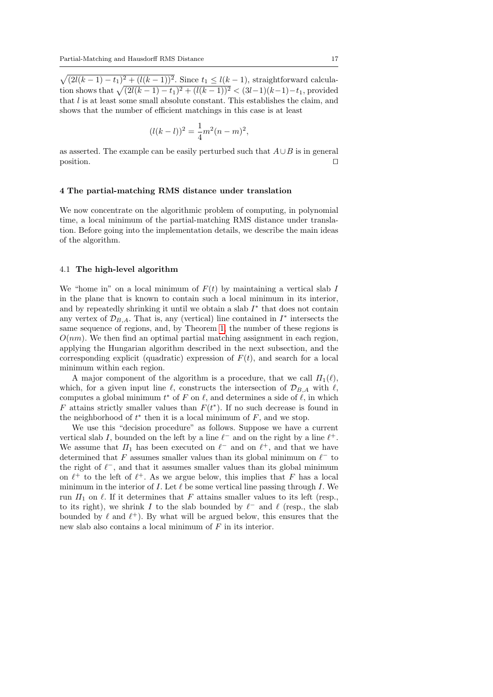$\sqrt{(2l(k-1)-t_1)^2+(l(k-1))^2}$ . Since  $t_1 \leq l(k-1)$ , straightforward calculation shows that  $\sqrt{(2l(k-1)-t_1)^2 + (l(k-1))^2} < (3l-1)(k-1)-t_1$ , provided that  $l$  is at least some small absolute constant. This establishes the claim, and shows that the number of efficient matchings in this case is at least

$$
(l(k-l))^{2} = \frac{1}{4}m^{2}(n-m)^{2},
$$

as asserted. The example can be easily perturbed such that  $A \cup B$  is in general position. position.  $\Box$ 

#### <span id="page-16-0"></span>4 The partial-matching RMS distance under translation

We now concentrate on the algorithmic problem of computing, in polynomial time, a local minimum of the partial-matching RMS distance under translation. Before going into the implementation details, we describe the main ideas of the algorithm.

### 4.1 The high-level algorithm

We "home in" on a local minimum of  $F(t)$  by maintaining a vertical slab I in the plane that is known to contain such a local minimum in its interior, and by repeatedly shrinking it until we obtain a slab  $I^*$  that does not contain any vertex of  $\mathcal{D}_{B,A}$ . That is, any (vertical) line contained in  $I^*$  intersects the same sequence of regions, and, by Theorem [1,](#page-5-0) the number of these regions is  $O(nm)$ . We then find an optimal partial matching assignment in each region, applying the Hungarian algorithm described in the next subsection, and the corresponding explicit (quadratic) expression of  $F(t)$ , and search for a local minimum within each region.

A major component of the algorithm is a procedure, that we call  $\Pi_1(\ell)$ , which, for a given input line  $\ell$ , constructs the intersection of  $\mathcal{D}_{BA}$  with  $\ell$ , computes a global minimum  $t^*$  of F on  $\ell$ , and determines a side of  $\ell$ , in which F attains strictly smaller values than  $F(t^*)$ . If no such decrease is found in the neighborhood of  $t^*$  then it is a local minimum of  $F$ , and we stop.

We use this "decision procedure" as follows. Suppose we have a current vertical slab I, bounded on the left by a line  $\ell^-$  and on the right by a line  $\ell^+$ . We assume that  $\Pi_1$  has been executed on  $\ell^-$  and on  $\ell^+$ , and that we have determined that F assumes smaller values than its global minimum on  $\ell^-$  to the right of  $\ell^-$ , and that it assumes smaller values than its global minimum on  $\ell^+$  to the left of  $\ell^+$ . As we argue below, this implies that F has a local minimum in the interior of I. Let  $\ell$  be some vertical line passing through I. We run  $\Pi_1$  on  $\ell$ . If it determines that F attains smaller values to its left (resp., to its right), we shrink I to the slab bounded by  $\ell^-$  and  $\ell$  (resp., the slab bounded by  $\ell$  and  $\ell^+$ ). By what will be argued below, this ensures that the new slab also contains a local minimum of F in its interior.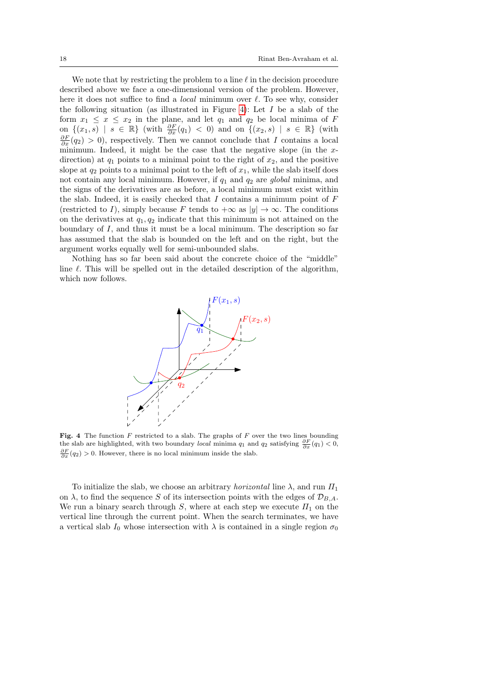We note that by restricting the problem to a line  $\ell$  in the decision procedure described above we face a one-dimensional version of the problem. However, here it does not suffice to find a *local* minimum over  $\ell$ . To see why, consider the following situation (as illustrated in Figure [4\)](#page-17-0): Let  $I$  be a slab of the form  $x_1 \leq x \leq x_2$  in the plane, and let  $q_1$  and  $q_2$  be local minima of F on  $\{(x_1, s) \mid s \in \mathbb{R}\}\$  (with  $\frac{\partial F}{\partial x}(q_1) < 0$ ) and on  $\{(x_2, s) \mid s \in \mathbb{R}\}\$  (with  $\frac{\partial F}{\partial x}(q_2) > 0$ , respectively. Then we cannot conclude that I contains a local minimum. Indeed, it might be the case that the negative slope (in the  $x$ direction) at  $q_1$  points to a minimal point to the right of  $x_2$ , and the positive slope at  $q_2$  points to a minimal point to the left of  $x_1$ , while the slab itself does not contain any local minimum. However, if  $q_1$  and  $q_2$  are global minima, and the signs of the derivatives are as before, a local minimum must exist within the slab. Indeed, it is easily checked that  $I$  contains a minimum point of  $F$ (restricted to I), simply because F tends to  $+\infty$  as  $|y| \to \infty$ . The conditions on the derivatives at  $q_1, q_2$  indicate that this minimum is not attained on the boundary of  $I$ , and thus it must be a local minimum. The description so far has assumed that the slab is bounded on the left and on the right, but the argument works equally well for semi-unbounded slabs.

Nothing has so far been said about the concrete choice of the "middle" line  $\ell$ . This will be spelled out in the detailed description of the algorithm, which now follows.



<span id="page-17-0"></span>Fig. 4 The function  $F$  restricted to a slab. The graphs of  $F$  over the two lines bounding the slab are highlighted, with two boundary *local* minima  $q_1$  and  $q_2$  satisfying  $\frac{\partial F}{\partial x}(q_1) < 0$ ,  $\frac{\partial F}{\partial x}(q_2) > 0$ . However, there is no local minimum inside the slab.

To initialize the slab, we choose an arbitrary *horizontal* line  $\lambda$ , and run  $\Pi_1$ on  $\lambda$ , to find the sequence S of its intersection points with the edges of  $\mathcal{D}_{B,A}$ . We run a binary search through S, where at each step we execute  $\Pi_1$  on the vertical line through the current point. When the search terminates, we have a vertical slab  $I_0$  whose intersection with  $\lambda$  is contained in a single region  $\sigma_0$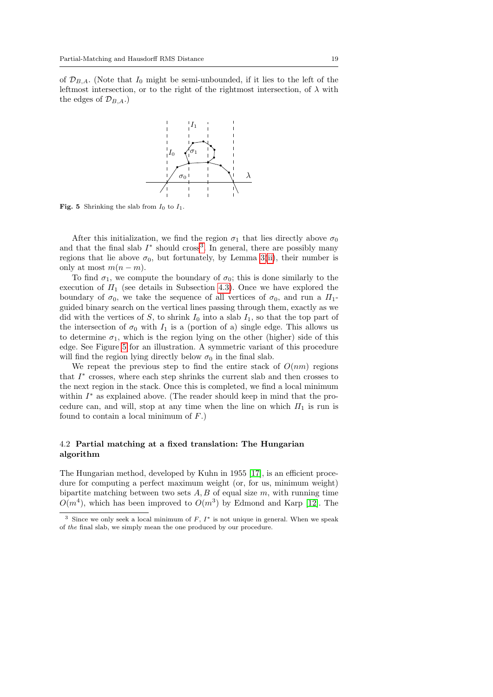of  $\mathcal{D}_{B,A}$ . (Note that  $I_0$  might be semi-unbounded, if it lies to the left of the leftmost intersection, or to the right of the rightmost intersection, of  $\lambda$  with the edges of  $\mathcal{D}_{B,A}$ .)



<span id="page-18-1"></span>**Fig. 5** Shrinking the slab from  $I_0$  to  $I_1$ .

After this initialization, we find the region  $\sigma_1$  that lies directly above  $\sigma_0$ and that the final slab  $I^*$  should cross<sup>[3](#page-18-0)</sup>. In general, there are possibly many regions that lie above  $\sigma_0$ , but fortunately, by Lemma [3\(](#page-7-0)[ii\)](#page-7-2), their number is only at most  $m(n - m)$ .

To find  $\sigma_1$ , we compute the boundary of  $\sigma_0$ ; this is done similarly to the execution of  $\Pi_1$  (see details in Subsection [4.3\)](#page-19-0). Once we have explored the boundary of  $\sigma_0$ , we take the sequence of all vertices of  $\sigma_0$ , and run a  $\Pi_1$ guided binary search on the vertical lines passing through them, exactly as we did with the vertices of S, to shrink  $I_0$  into a slab  $I_1$ , so that the top part of the intersection of  $\sigma_0$  with  $I_1$  is a (portion of a) single edge. This allows us to determine  $\sigma_1$ , which is the region lying on the other (higher) side of this edge. See Figure [5](#page-18-1) for an illustration. A symmetric variant of this procedure will find the region lying directly below  $\sigma_0$  in the final slab.

We repeat the previous step to find the entire stack of  $O(nm)$  regions that  $I^*$  crosses, where each step shrinks the current slab and then crosses to the next region in the stack. Once this is completed, we find a local minimum within  $I^*$  as explained above. (The reader should keep in mind that the procedure can, and will, stop at any time when the line on which  $\Pi_1$  is run is found to contain a local minimum of  $F$ .)

# 4.2 Partial matching at a fixed translation: The Hungarian algorithm

The Hungarian method, developed by Kuhn in 1955 [\[17\]](#page-30-10), is an efficient procedure for computing a perfect maximum weight (or, for us, minimum weight) bipartite matching between two sets  $A, B$  of equal size  $m$ , with running time  $O(m^4)$ , which has been improved to  $O(m^3)$  by Edmond and Karp [\[12\]](#page-29-9). The

<span id="page-18-0"></span><sup>&</sup>lt;sup>3</sup> Since we only seek a local minimum of  $F$ ,  $I^*$  is not unique in general. When we speak of the final slab, we simply mean the one produced by our procedure.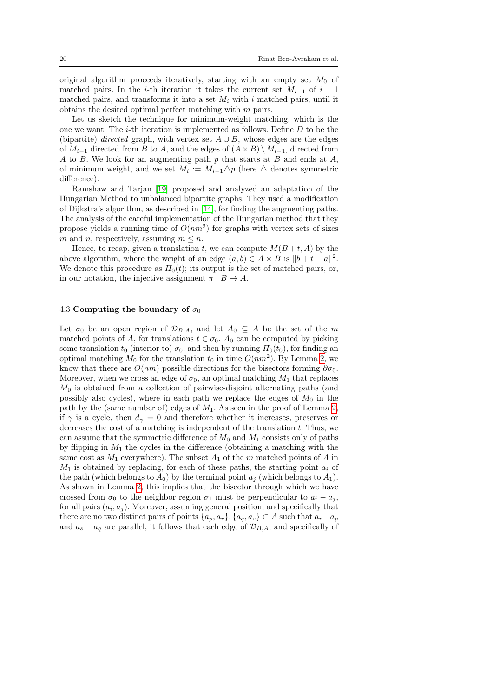original algorithm proceeds iteratively, starting with an empty set  $M_0$  of matched pairs. In the i-th iteration it takes the current set  $M_{i-1}$  of  $i-1$ matched pairs, and transforms it into a set  $M_i$  with i matched pairs, until it obtains the desired optimal perfect matching with m pairs.

Let us sketch the technique for minimum-weight matching, which is the one we want. The  $i$ -th iteration is implemented as follows. Define  $D$  to be the (bipartite) *directed* graph, with vertex set  $A \cup B$ , whose edges are the edges of  $M_{i-1}$  directed from B to A, and the edges of  $(A \times B) \setminus M_{i-1}$ , directed from A to B. We look for an augmenting path  $p$  that starts at  $B$  and ends at  $A$ , of minimum weight, and we set  $M_i := M_{i-1} \triangle p$  (here  $\triangle$  denotes symmetric difference).

Ramshaw and Tarjan [\[19\]](#page-30-11) proposed and analyzed an adaptation of the Hungarian Method to unbalanced bipartite graphs. They used a modification of Dijkstra's algorithm, as described in [\[14\]](#page-30-12), for finding the augmenting paths. The analysis of the careful implementation of the Hungarian method that they propose yields a running time of  $O(nm^2)$  for graphs with vertex sets of sizes m and n, respectively, assuming  $m \leq n$ .

Hence, to recap, given a translation t, we can compute  $M(B + t, A)$  by the above algorithm, where the weight of an edge  $(a, b) \in A \times B$  is  $||b + t - a||^2$ . We denote this procedure as  $\Pi_0(t)$ ; its output is the set of matched pairs, or, in our notation, the injective assignment  $\pi : B \to A$ .

# <span id="page-19-0"></span>4.3 Computing the boundary of  $\sigma_0$

Let  $\sigma_0$  be an open region of  $\mathcal{D}_{B,A}$ , and let  $A_0 \subseteq A$  be the set of the m matched points of A, for translations  $t \in \sigma_0$ .  $A_0$  can be computed by picking some translation  $t_0$  (interior to)  $\sigma_0$ , and then by running  $\Pi_0(t_0)$ , for finding an optimal matching  $M_0$  for the translation  $t_0$  in time  $O(nm^2)$ . By Lemma [2,](#page-6-1) we know that there are  $O(nm)$  possible directions for the bisectors forming  $\partial \sigma_0$ . Moreover, when we cross an edge of  $\sigma_0$ , an optimal matching  $M_1$  that replaces  $M<sub>0</sub>$  is obtained from a collection of pairwise-disjoint alternating paths (and possibly also cycles), where in each path we replace the edges of  $M_0$  in the path by the (same number of) edges of  $M_1$ . As seen in the proof of Lemma [2,](#page-6-1) if  $\gamma$  is a cycle, then  $d_{\gamma} = 0$  and therefore whether it increases, preserves or decreases the cost of a matching is independent of the translation  $t$ . Thus, we can assume that the symmetric difference of  $M_0$  and  $M_1$  consists only of paths by flipping in  $M_1$  the cycles in the difference (obtaining a matching with the same cost as  $M_1$  everywhere). The subset  $A_1$  of the m matched points of A in  $M_1$  is obtained by replacing, for each of these paths, the starting point  $a_i$  of the path (which belongs to  $A_0$ ) by the terminal point  $a_i$  (which belongs to  $A_1$ ). As shown in Lemma [2,](#page-6-1) this implies that the bisector through which we have crossed from  $\sigma_0$  to the neighbor region  $\sigma_1$  must be perpendicular to  $a_i - a_j$ , for all pairs  $(a_i, a_j)$ . Moreover, assuming general position, and specifically that there are no two distinct pairs of points  $\{a_p, a_r\}, \{a_q, a_s\} \subset A$  such that  $a_r - a_p$ and  $a_s - a_q$  are parallel, it follows that each edge of  $\mathcal{D}_{B,A}$ , and specifically of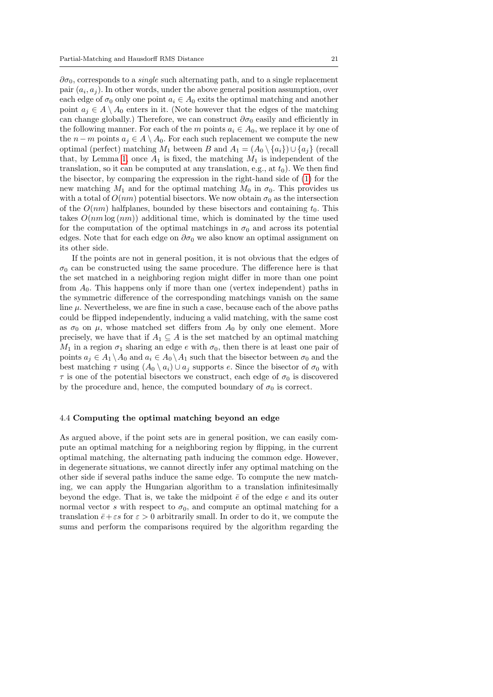$\partial \sigma_0$ , corresponds to a *single* such alternating path, and to a single replacement pair  $(a_i, a_j)$ . In other words, under the above general position assumption, over each edge of  $\sigma_0$  only one point  $a_i \in A_0$  exits the optimal matching and another point  $a_j \in A \setminus A_0$  enters in it. (Note however that the edges of the matching can change globally.) Therefore, we can construct  $\partial \sigma_0$  easily and efficiently in the following manner. For each of the m points  $a_i \in A_0$ , we replace it by one of the  $n - m$  points  $a_j \in A \setminus A_0$ . For each such replacement we compute the new optimal (perfect) matching  $M_1$  between B and  $A_1 = (A_0 \setminus \{a_i\}) \cup \{a_i\}$  (recall that, by Lemma [1,](#page-6-2) once  $A_1$  is fixed, the matching  $M_1$  is independent of the translation, so it can be computed at any translation, e.g., at  $t_0$ ). We then find the bisector, by comparing the expression in the right-hand side of [\(1\)](#page-5-1) for the new matching  $M_1$  and for the optimal matching  $M_0$  in  $\sigma_0$ . This provides us with a total of  $O(nm)$  potential bisectors. We now obtain  $\sigma_0$  as the intersection of the  $O(nm)$  halfplanes, bounded by these bisectors and containing  $t_0$ . This takes  $O(nm \log (nm))$  additional time, which is dominated by the time used for the computation of the optimal matchings in  $\sigma_0$  and across its potential edges. Note that for each edge on  $\partial \sigma_0$  we also know an optimal assignment on its other side.

If the points are not in general position, it is not obvious that the edges of  $\sigma_0$  can be constructed using the same procedure. The difference here is that the set matched in a neighboring region might differ in more than one point from  $A_0$ . This happens only if more than one (vertex independent) paths in the symmetric difference of the corresponding matchings vanish on the same line  $\mu$ . Nevertheless, we are fine in such a case, because each of the above paths could be flipped independently, inducing a valid matching, with the same cost as  $\sigma_0$  on  $\mu$ , whose matched set differs from  $A_0$  by only one element. More precisely, we have that if  $A_1 \subseteq A$  is the set matched by an optimal matching  $M_1$  in a region  $\sigma_1$  sharing an edge e with  $\sigma_0$ , then there is at least one pair of points  $a_j \in A_1 \setminus A_0$  and  $a_i \in A_0 \setminus A_1$  such that the bisector between  $\sigma_0$  and the best matching  $\tau$  using  $(A_0 \setminus a_i) \cup a_j$  supports e. Since the bisector of  $\sigma_0$  with  $\tau$  is one of the potential bisectors we construct, each edge of  $\sigma_0$  is discovered by the procedure and, hence, the computed boundary of  $\sigma_0$  is correct.

### 4.4 Computing the optimal matching beyond an edge

As argued above, if the point sets are in general position, we can easily compute an optimal matching for a neighboring region by flipping, in the current optimal matching, the alternating path inducing the common edge. However, in degenerate situations, we cannot directly infer any optimal matching on the other side if several paths induce the same edge. To compute the new matching, we can apply the Hungarian algorithm to a translation infinitesimally beyond the edge. That is, we take the midpoint  $\bar{e}$  of the edge e and its outer normal vector s with respect to  $\sigma_0$ , and compute an optimal matching for a translation  $\bar{\epsilon} + \epsilon s$  for  $\epsilon > 0$  arbitrarily small. In order to do it, we compute the sums and perform the comparisons required by the algorithm regarding the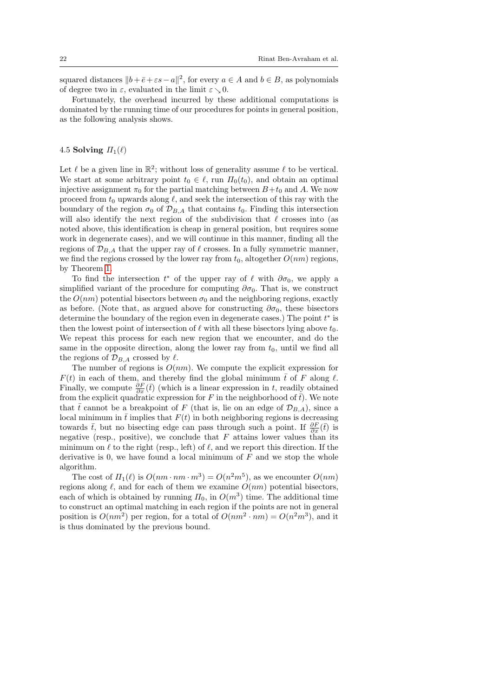squared distances  $||b+\bar{e}+\varepsilon s-a||^2$ , for every  $a \in A$  and  $b \in B$ , as polynomials of degree two in  $\varepsilon$ , evaluated in the limit  $\varepsilon \searrow 0$ .

Fortunately, the overhead incurred by these additional computations is dominated by the running time of our procedures for points in general position, as the following analysis shows.

# 4.5 Solving  $\Pi_1(\ell)$

Let  $\ell$  be a given line in  $\mathbb{R}^2$ ; without loss of generality assume  $\ell$  to be vertical. We start at some arbitrary point  $t_0 \in \ell$ , run  $\Pi_0(t_0)$ , and obtain an optimal injective assignment  $\pi_0$  for the partial matching between  $B+t_0$  and A. We now proceed from  $t_0$  upwards along  $\ell$ , and seek the intersection of this ray with the boundary of the region  $\sigma_0$  of  $\mathcal{D}_{B,A}$  that contains  $t_0$ . Finding this intersection will also identify the next region of the subdivision that  $\ell$  crosses into (as noted above, this identification is cheap in general position, but requires some work in degenerate cases), and we will continue in this manner, finding all the regions of  $\mathcal{D}_{B,A}$  that the upper ray of  $\ell$  crosses. In a fully symmetric manner, we find the regions crossed by the lower ray from  $t_0$ , altogether  $O(nm)$  regions, by Theorem [1.](#page-5-0)

To find the intersection  $t^*$  of the upper ray of  $\ell$  with  $\partial \sigma_0$ , we apply a simplified variant of the procedure for computing  $\partial \sigma_0$ . That is, we construct the  $O(nm)$  potential bisectors between  $\sigma_0$  and the neighboring regions, exactly as before. (Note that, as argued above for constructing  $\partial \sigma_0$ , these bisectors determine the boundary of the region even in degenerate cases.) The point  $t^*$  is then the lowest point of intersection of  $\ell$  with all these bisectors lying above  $t_0$ . We repeat this process for each new region that we encounter, and do the same in the opposite direction, along the lower ray from  $t_0$ , until we find all the regions of  $\mathcal{D}_{B,A}$  crossed by  $\ell$ .

The number of regions is  $O(nm)$ . We compute the explicit expression for  $F(t)$  in each of them, and thereby find the global minimum  $\bar{t}$  of F along  $\ell$ . Finally, we compute  $\frac{\partial F}{\partial x}(t)$  (which is a linear expression in t, readily obtained from the explicit quadratic expression for F in the neighborhood of  $\bar{t}$ ). We note that  $\bar{t}$  cannot be a breakpoint of F (that is, lie on an edge of  $\mathcal{D}_{B,A}$ ), since a local minimum in  $\bar{t}$  implies that  $F(t)$  in both neighboring regions is decreasing towards  $\bar{t}$ , but no bisecting edge can pass through such a point. If  $\frac{\partial F}{\partial x}(\bar{t})$  is negative (resp., positive), we conclude that  $F$  attains lower values than its minimum on  $\ell$  to the right (resp., left) of  $\ell$ , and we report this direction. If the derivative is 0, we have found a local minimum of  $F$  and we stop the whole algorithm.

The cost of  $\Pi_1(\ell)$  is  $O(nm \cdot nm \cdot m^3) = O(n^2m^5)$ , as we encounter  $O(nm)$ regions along  $\ell$ , and for each of them we examine  $O(nm)$  potential bisectors, each of which is obtained by running  $\Pi_0$ , in  $O(m^3)$  time. The additional time to construct an optimal matching in each region if the points are not in general position is  $O(nm^2)$  per region, for a total of  $O(nm^2 \cdot nm) = O(n^2m^3)$ , and it is thus dominated by the previous bound.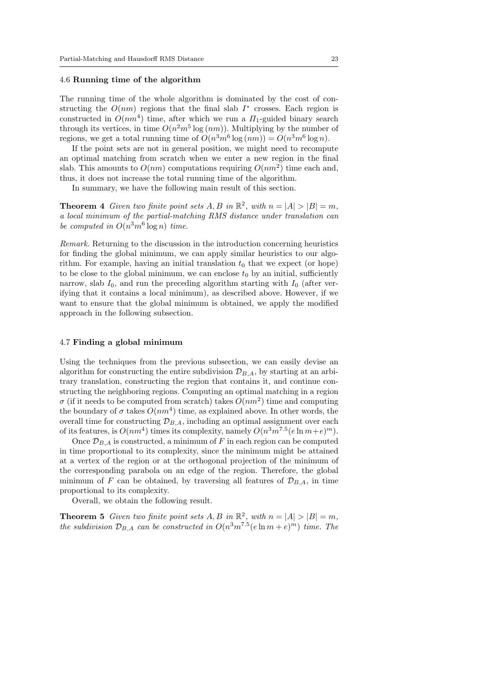### <span id="page-22-0"></span>4.6 Running time of the algorithm

The running time of the whole algorithm is dominated by the cost of constructing the  $O(nm)$  regions that the final slab  $I^*$  crosses. Each region is constructed in  $O(nm^4)$  time, after which we run a  $\Pi_1$ -guided binary search through its vertices, in time  $O(n^2m^5 \log(nm))$ . Multiplying by the number of regions, we get a total running time of  $O(n^3m^6 \log(nm)) = O(n^3m^6 \log n)$ .

If the point sets are not in general position, we might need to recompute an optimal matching from scratch when we enter a new region in the final slab. This amounts to  $O(nm)$  computations requiring  $O(nm^2)$  time each and, thus, it does not increase the total running time of the algorithm.

In summary, we have the following main result of this section.

**Theorem 4** Given two finite point sets  $A, B$  in  $\mathbb{R}^2$ , with  $n = |A| > |B| = m$ , a local minimum of the partial-matching RMS distance under translation can be computed in  $O(n^3m^6 \log n)$  time.

Remark. Returning to the discussion in the introduction concerning heuristics for finding the global minimum, we can apply similar heuristics to our algorithm. For example, having an initial translation  $t_0$  that we expect (or hope) to be close to the global minimum, we can enclose  $t_0$  by an initial, sufficiently narrow, slab  $I_0$ , and run the preceding algorithm starting with  $I_0$  (after verifying that it contains a local minimum), as described above. However, if we want to ensure that the global minimum is obtained, we apply the modified approach in the following subsection.

### 4.7 Finding a global minimum

Using the techniques from the previous subsection, we can easily devise an algorithm for constructing the entire subdivision  $\mathcal{D}_{B,A}$ , by starting at an arbitrary translation, constructing the region that contains it, and continue constructing the neighboring regions. Computing an optimal matching in a region  $\sigma$  (if it needs to be computed from scratch) takes  $O(nm^2)$  time and computing the boundary of  $\sigma$  takes  $O(nm^4)$  time, as explained above. In other words, the overall time for constructing  $\mathcal{D}_{B,A}$ , including an optimal assignment over each of its features, is  $O(nm^4)$  times its complexity, namely  $O(n^3m^{7.5}(e \ln m + e)^m)$ .

Once  $\mathcal{D}_{B,A}$  is constructed, a minimum of F in each region can be computed in time proportional to its complexity, since the minimum might be attained at a vertex of the region or at the orthogonal projection of the minimum of the corresponding parabola on an edge of the region. Therefore, the global minimum of F can be obtained, by traversing all features of  $\mathcal{D}_{B,A}$ , in time proportional to its complexity.

Overall, we obtain the following result.

**Theorem 5** Given two finite point sets  $A, B$  in  $\mathbb{R}^2$ , with  $n = |A| > |B| = m$ , the subdivision  $\mathcal{D}_{B,A}$  can be constructed in  $O(n^3m^{7.5}(e \ln m + e)^m)$  time. The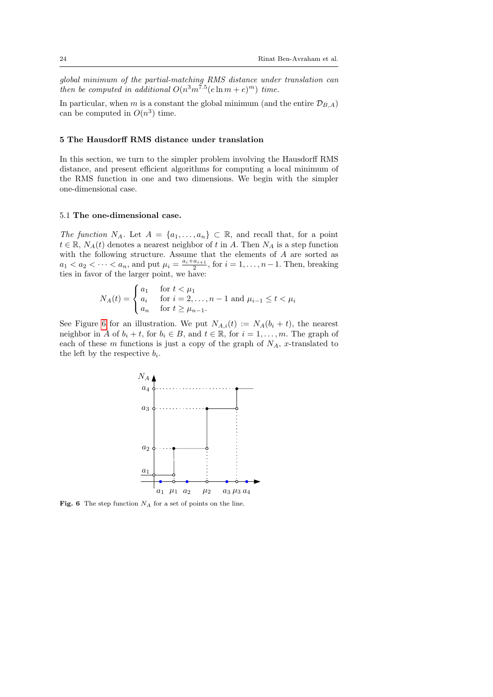global minimum of the partial-matching RMS distance under translation can then be computed in additional  $O(n^3m^{7.5}(e \ln m + e)^m)$  time.

In particular, when m is a constant the global minimum (and the entire  $\mathcal{D}_{B,A}$ ) can be computed in  $O(n^3)$  time.

## 5 The Hausdorff RMS distance under translation

In this section, we turn to the simpler problem involving the Hausdorff RMS distance, and present efficient algorithms for computing a local minimum of the RMS function in one and two dimensions. We begin with the simpler one-dimensional case.

#### 5.1 The one-dimensional case.

The function  $N_A$ . Let  $A = \{a_1, \ldots, a_n\} \subset \mathbb{R}$ , and recall that, for a point  $t \in \mathbb{R}$ ,  $N_A(t)$  denotes a nearest neighbor of t in A. Then  $N_A$  is a step function with the following structure. Assume that the elements of A are sorted as  $a_1 < a_2 < \cdots < a_n$ , and put  $\mu_i = \frac{a_i + a_{i+1}}{2}$  $\frac{a_{i+1}}{2}$ , for  $i = 1, \ldots, n-1$ . Then, breaking ties in favor of the larger point, we have:

$$
N_A(t) = \begin{cases} a_1 & \text{for } t < \mu_1 \\ a_i & \text{for } i = 2, ..., n - 1 \text{ and } \mu_{i-1} \le t < \mu_i \\ a_n & \text{for } t \ge \mu_{n-1}. \end{cases}
$$

See Figure [6](#page-23-0) for an illustration. We put  $N_{A,i}(t) := N_A(b_i + t)$ , the nearest neighbor in A of  $b_i + t$ , for  $b_i \in B$ , and  $t \in \mathbb{R}$ , for  $i = 1, \ldots, m$ . The graph of each of these m functions is just a copy of the graph of  $N_A$ , x-translated to the left by the respective  $b_i$ .



<span id="page-23-0"></span>Fig. 6 The step function  $N_A$  for a set of points on the line.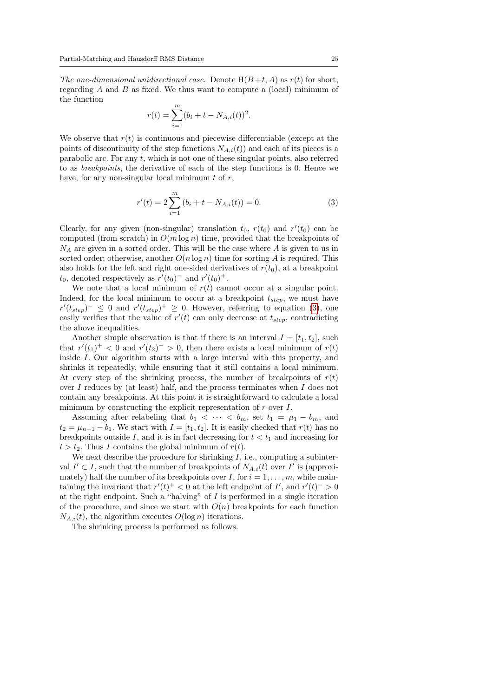The one-dimensional unidirectional case. Denote  $H(B+t, A)$  as  $r(t)$  for short, regarding  $A$  and  $B$  as fixed. We thus want to compute a (local) minimum of the function

$$
r(t) = \sum_{i=1}^{m} (b_i + t - N_{A,i}(t))^2.
$$

We observe that  $r(t)$  is continuous and piecewise differentiable (except at the points of discontinuity of the step functions  $N_{A,i}(t)$  and each of its pieces is a parabolic arc. For any t, which is not one of these singular points, also referred to as breakpoints, the derivative of each of the step functions is 0. Hence we have, for any non-singular local minimum  $t$  of  $r$ ,

<span id="page-24-0"></span>
$$
r'(t) = 2\sum_{i=1}^{m} (b_i + t - N_{A,i}(t)) = 0.
$$
 (3)

Clearly, for any given (non-singular) translation  $t_0$ ,  $r(t_0)$  and  $r'(t_0)$  can be computed (from scratch) in  $O(m \log n)$  time, provided that the breakpoints of  $N_A$  are given in a sorted order. This will be the case where A is given to us in sorted order; otherwise, another  $O(n \log n)$  time for sorting A is required. This also holds for the left and right one-sided derivatives of  $r(t_0)$ , at a breakpoint  $t_0$ , denoted respectively as  $r'(t_0)$ <sup>-</sup> and  $r'(t_0)$ <sup>+</sup>.

We note that a local minimum of  $r(t)$  cannot occur at a singular point. Indeed, for the local minimum to occur at a breakpoint  $t_{step}$ , we must have  $r'(t_{step})^{-} \leq 0$  and  $r'(t_{step})^{+} \geq 0$ . However, referring to equation [\(3\)](#page-24-0), one easily verifies that the value of  $r'(t)$  can only decrease at  $t_{step}$ , contradicting the above inequalities.

Another simple observation is that if there is an interval  $I = [t_1, t_2]$ , such that  $r'(t_1)^+ < 0$  and  $r'(t_2)^- > 0$ , then there exists a local minimum of  $r(t)$ inside I. Our algorithm starts with a large interval with this property, and shrinks it repeatedly, while ensuring that it still contains a local minimum. At every step of the shrinking process, the number of breakpoints of  $r(t)$ over I reduces by (at least) half, and the process terminates when I does not contain any breakpoints. At this point it is straightforward to calculate a local minimum by constructing the explicit representation of  $r$  over  $I$ .

Assuming after relabeling that  $b_1 < \cdots < b_m$ , set  $t_1 = \mu_1 - b_m$ , and  $t_2 = \mu_{n-1} - b_1$ . We start with  $I = [t_1, t_2]$ . It is easily checked that  $r(t)$  has no breakpoints outside I, and it is in fact decreasing for  $t < t_1$  and increasing for  $t > t_2$ . Thus I contains the global minimum of  $r(t)$ .

We next describe the procedure for shrinking  $I$ , i.e., computing a subinterval  $I' \subset I$ , such that the number of breakpoints of  $N_{A,i}(t)$  over  $I'$  is (approximately) half the number of its breakpoints over I, for  $i = 1, \ldots, m$ , while maintaining the invariant that  $r'(t)^+ < 0$  at the left endpoint of I', and  $r'(t)^- > 0$ at the right endpoint. Such a "halving" of  $I$  is performed in a single iteration of the procedure, and since we start with  $O(n)$  breakpoints for each function  $N_{A,i}(t)$ , the algorithm executes  $O(\log n)$  iterations.

The shrinking process is performed as follows.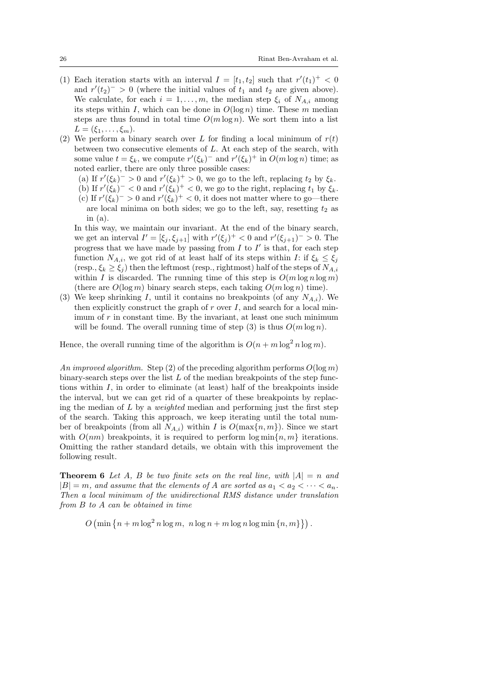- (1) Each iteration starts with an interval  $I = [t_1, t_2]$  such that  $r'(t_1)^+ < 0$ and  $r'(t_2)^{-} > 0$  (where the initial values of  $t_1$  and  $t_2$  are given above). We calculate, for each  $i = 1, \ldots, m$ , the median step  $\xi_i$  of  $N_{A,i}$  among its steps within I, which can be done in  $O(\log n)$  time. These m median steps are thus found in total time  $O(m \log n)$ . We sort them into a list  $L = (\xi_1, \ldots, \xi_m).$
- (2) We perform a binary search over L for finding a local minimum of  $r(t)$ between two consecutive elements of L. At each step of the search, with some value  $t = \xi_k$ , we compute  $r'(\xi_k)^-$  and  $r'(\xi_k)^+$  in  $O(m \log n)$  time; as noted earlier, there are only three possible cases:
	- (a) If  $r'(\xi_k)^{-} > 0$  and  $r'(\xi_k)^{+} > 0$ , we go to the left, replacing  $t_2$  by  $\xi_k$ .
	- (b) If  $r'(\xi_k)^{-} < 0$  and  $r'(\xi_k)^{+} < 0$ , we go to the right, replacing  $t_1$  by  $\xi_k$ .
	- (c) If  $r'(\xi_k)^{-} > 0$  and  $r'(\xi_k)^{+} < 0$ , it does not matter where to go—there are local minima on both sides; we go to the left, say, resetting  $t_2$  as in (a).

In this way, we maintain our invariant. At the end of the binary search, we get an interval  $I' = [\xi_j, \xi_{j+1}]$  with  $r'(\xi_j)^+ < 0$  and  $r'(\xi_{j+1})^- > 0$ . The progress that we have made by passing from  $I$  to  $I'$  is that, for each step function  $N_{A,i}$ , we got rid of at least half of its steps within I: if  $\xi_k \leq \xi_j$ (resp.,  $\xi_k \geq \xi_j$ ) then the leftmost (resp., rightmost) half of the steps of  $N_{A,i}$ within I is discarded. The running time of this step is  $O(m \log n \log m)$ (there are  $O(\log m)$  binary search steps, each taking  $O(m \log n)$  time).

(3) We keep shrinking I, until it contains no breakpoints (of any  $N_{A,i}$ ). We then explicitly construct the graph of  $r$  over  $I$ , and search for a local minimum of  $r$  in constant time. By the invariant, at least one such minimum will be found. The overall running time of step (3) is thus  $O(m \log n)$ .

Hence, the overall running time of the algorithm is  $O(n + m \log^2 n \log m)$ .

An improved algorithm. Step (2) of the preceding algorithm performs  $O(\log m)$ binary-search steps over the list  $L$  of the median breakpoints of the step functions within  $I$ , in order to eliminate (at least) half of the breakpoints inside the interval, but we can get rid of a quarter of these breakpoints by replacing the median of  $L$  by a *weighted* median and performing just the first step of the search. Taking this approach, we keep iterating until the total number of breakpoints (from all  $N_{A,i}$ ) within I is  $O(\max\{n,m\})$ . Since we start with  $O(nm)$  breakpoints, it is required to perform  $\log \min\{n, m\}$  iterations. Omitting the rather standard details, we obtain with this improvement the following result.

**Theorem 6** Let A, B be two finite sets on the real line, with  $|A| = n$  and  $|B| = m$ , and assume that the elements of A are sorted as  $a_1 < a_2 < \cdots < a_n$ . Then a local minimum of the unidirectional RMS distance under translation from B to A can be obtained in time

 $O\left(\min\left\{n+m\log^2 n\log m, n\log n+m\log n\log\min\left\{n,m\right\}\right\}\right).$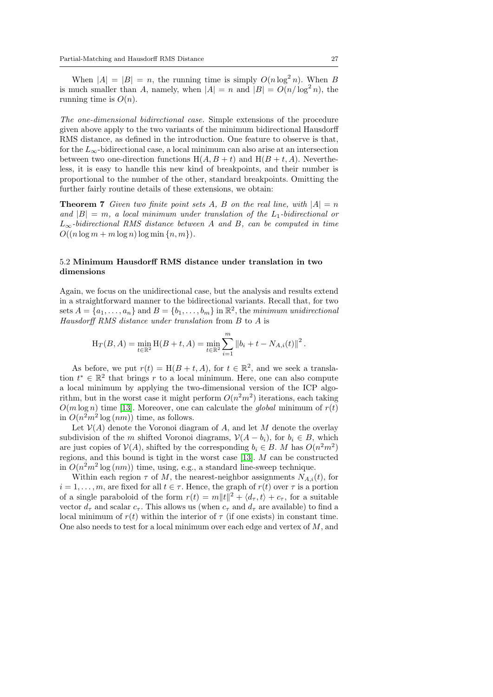When  $|A| = |B| = n$ , the running time is simply  $O(n \log^2 n)$ . When B is much smaller than A, namely, when  $|A| = n$  and  $|B| = O(n/\log^2 n)$ , the running time is  $O(n)$ .

The one-dimensional bidirectional case. Simple extensions of the procedure given above apply to the two variants of the minimum bidirectional Hausdorff RMS distance, as defined in the introduction. One feature to observe is that, for the  $L_{\infty}$ -bidirectional case, a local minimum can also arise at an intersection between two one-direction functions  $H(A, B + t)$  and  $H(B + t, A)$ . Nevertheless, it is easy to handle this new kind of breakpoints, and their number is proportional to the number of the other, standard breakpoints. Omitting the further fairly routine details of these extensions, we obtain:

**Theorem 7** Given two finite point sets A, B on the real line, with  $|A| = n$ and  $|B| = m$ , a local minimum under translation of the  $L_1$ -bidirectional or  $L_{\infty}$ -bidirectional RMS distance between A and B, can be computed in time  $O((n \log m + m \log n) \log \min \{n, m\}).$ 

## 5.2 Minimum Hausdorff RMS distance under translation in two dimensions

Again, we focus on the unidirectional case, but the analysis and results extend in a straightforward manner to the bidirectional variants. Recall that, for two sets  $A = \{a_1, \ldots, a_n\}$  and  $B = \{b_1, \ldots, b_m\}$  in  $\mathbb{R}^2$ , the minimum unidirectional Hausdorff RMS distance under translation from B to A is

$$
H_T(B, A) = \min_{t \in \mathbb{R}^2} H(B + t, A) = \min_{t \in \mathbb{R}^2} \sum_{i=1}^m \left\| b_i + t - N_{A,i}(t) \right\|^2.
$$

As before, we put  $r(t) = H(B + t, A)$ , for  $t \in \mathbb{R}^2$ , and we seek a translation  $t^* \in \mathbb{R}^2$  that brings r to a local minimum. Here, one can also compute a local minimum by applying the two-dimensional version of the ICP algorithm, but in the worst case it might perform  $O(n^2m^2)$  iterations, each taking  $O(m \log n)$  time [\[13\]](#page-30-7). Moreover, one can calculate the *global* minimum of  $r(t)$ in  $O(n^2m^2 \log (nm))$  time, as follows.

Let  $\mathcal{V}(A)$  denote the Voronoi diagram of A, and let M denote the overlay subdivision of the m shifted Voronoi diagrams,  $\mathcal{V}(A - b_i)$ , for  $b_i \in B$ , which are just copies of  $V(A)$ , shifted by the corresponding  $b_i \in B$ . M has  $O(n^2m^2)$ regions, and this bound is tight in the worst case [\[13\]](#page-30-7). M can be constructed in  $O(n^2m^2 \log(nm))$  time, using, e.g., a standard line-sweep technique.

Within each region  $\tau$  of M, the nearest-neighbor assignments  $N_{A,i}(t)$ , for  $i = 1, \ldots, m$ , are fixed for all  $t \in \tau$ . Hence, the graph of  $r(t)$  over  $\tau$  is a portion of a single paraboloid of the form  $r(t) = m||t||^2 + \langle d_\tau, t \rangle + c_\tau$ , for a suitable vector  $d_{\tau}$  and scalar  $c_{\tau}$ . This allows us (when  $c_{\tau}$  and  $d_{\tau}$  are available) to find a local minimum of  $r(t)$  within the interior of  $\tau$  (if one exists) in constant time. One also needs to test for a local minimum over each edge and vertex of  $M$ , and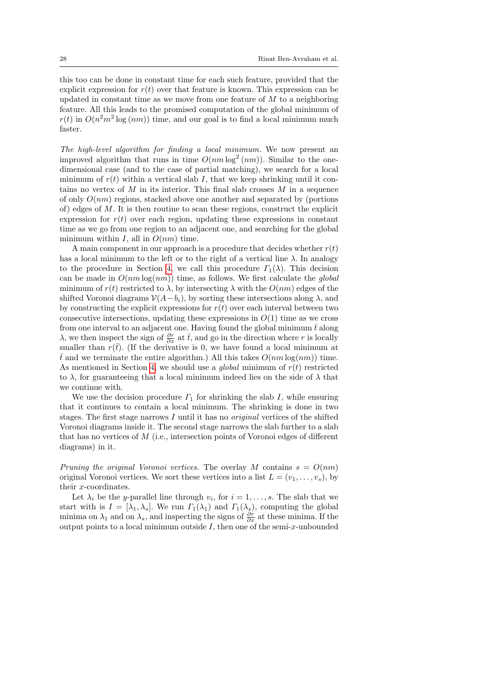this too can be done in constant time for each such feature, provided that the explicit expression for  $r(t)$  over that feature is known. This expression can be updated in constant time as we move from one feature of  $M$  to a neighboring feature. All this leads to the promised computation of the global minimum of  $r(t)$  in  $O(n^2m^2 \log(nm))$  time, and our goal is to find a local minimum much faster.

The high-level algorithm for finding a local minimum. We now present an improved algorithm that runs in time  $O(nm \log^2(nm))$ . Similar to the onedimensional case (and to the case of partial matching), we search for a local minimum of  $r(t)$  within a vertical slab I, that we keep shrinking until it contains no vertex of  $M$  in its interior. This final slab crosses  $M$  in a sequence of only  $O(nm)$  regions, stacked above one another and separated by (portions of) edges of  $M$ . It is then routine to scan these regions, construct the explicit expression for  $r(t)$  over each region, updating these expressions in constant time as we go from one region to an adjacent one, and searching for the global minimum within I, all in  $O(nm)$  time.

A main component in our approach is a procedure that decides whether  $r(t)$ has a local minimum to the left or to the right of a vertical line  $\lambda$ . In analogy to the procedure in Section [4,](#page-16-0) we call this procedure  $\Gamma_1(\lambda)$ . This decision can be made in  $O(nm \log(nm))$  time, as follows. We first calculate the global minimum of  $r(t)$  restricted to  $\lambda$ , by intersecting  $\lambda$  with the  $O(nm)$  edges of the shifted Voronoi diagrams  $V(A-b_i)$ , by sorting these intersections along  $\lambda$ , and by constructing the explicit expressions for  $r(t)$  over each interval between two consecutive intersections, updating these expressions in  $O(1)$  time as we cross from one interval to an adjacent one. Having found the global minimum  $\bar{t}$  along  $\lambda$ , we then inspect the sign of  $\frac{\partial r}{\partial x}$  at  $\bar{t}$ , and go in the direction where r is locally smaller than  $r(\bar{t})$ . (If the derivative is 0, we have found a local minimum at  $\bar{t}$  and we terminate the entire algorithm.) All this takes  $O(nm \log(nm))$  time. As mentioned in Section [4,](#page-16-0) we should use a *global* minimum of  $r(t)$  restricted to  $\lambda$ , for guaranteeing that a local minimum indeed lies on the side of  $\lambda$  that we continue with.

We use the decision procedure  $\Gamma_1$  for shrinking the slab I, while ensuring that it continues to contain a local minimum. The shrinking is done in two stages. The first stage narrows  $I$  until it has no *original* vertices of the shifted Voronoi diagrams inside it. The second stage narrows the slab further to a slab that has no vertices of M (i.e., intersection points of Voronoi edges of different diagrams) in it.

Pruning the original Voronoi vertices. The overlay M contains  $s = O(nm)$ original Voronoi vertices. We sort these vertices into a list  $L = (v_1, \ldots, v_s)$ , by their x-coordinates.

Let  $\lambda_i$  be the *y*-parallel line through  $v_i$ , for  $i = 1, \ldots, s$ . The slab that we start with is  $I = [\lambda_1, \lambda_s]$ . We run  $\Gamma_1(\lambda_1)$  and  $\Gamma_1(\lambda_s)$ , computing the global minima on  $\lambda_1$  and on  $\lambda_s$ , and inspecting the signs of  $\frac{\partial r}{\partial x}$  at these minima. If the output points to a local minimum outside  $I$ , then one of the semi-x-unbounded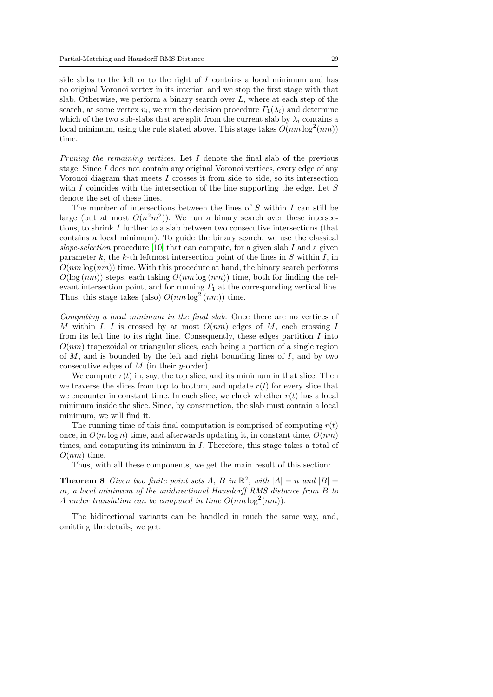side slabs to the left or to the right of  $I$  contains a local minimum and has no original Voronoi vertex in its interior, and we stop the first stage with that slab. Otherwise, we perform a binary search over  $L$ , where at each step of the search, at some vertex  $v_i$ , we run the decision procedure  $\Gamma_1(\lambda_i)$  and determine which of the two sub-slabs that are split from the current slab by  $\lambda_i$  contains a local minimum, using the rule stated above. This stage takes  $O(nm \log^2(nm))$ time.

Pruning the remaining vertices. Let  $I$  denote the final slab of the previous stage. Since I does not contain any original Voronoi vertices, every edge of any Voronoi diagram that meets  $I$  crosses it from side to side, so its intersection with I coincides with the intersection of the line supporting the edge. Let  $S$ denote the set of these lines.

The number of intersections between the lines of  $S$  within  $I$  can still be large (but at most  $O(n^2m^2)$ ). We run a binary search over these intersections, to shrink I further to a slab between two consecutive intersections (that contains a local minimum). To guide the binary search, we use the classical slope-selection procedure [\[10\]](#page-29-10) that can compute, for a given slab I and a given parameter k, the k-th leftmost intersection point of the lines in  $S$  within  $I$ , in  $O(nm \log(nm))$  time. With this procedure at hand, the binary search performs  $O(\log (nm))$  steps, each taking  $O(nm \log (nm))$  time, both for finding the relevant intersection point, and for running  $\Gamma_1$  at the corresponding vertical line. Thus, this stage takes (also)  $O(nm \log^2(nm))$  time.

Computing a local minimum in the final slab. Once there are no vertices of M within I, I is crossed by at most  $O(nm)$  edges of M, each crossing I from its left line to its right line. Consequently, these edges partition  $I$  into  $O(nm)$  trapezoidal or triangular slices, each being a portion of a single region of  $M$ , and is bounded by the left and right bounding lines of  $I$ , and by two consecutive edges of  $M$  (in their y-order).

We compute  $r(t)$  in, say, the top slice, and its minimum in that slice. Then we traverse the slices from top to bottom, and update  $r(t)$  for every slice that we encounter in constant time. In each slice, we check whether  $r(t)$  has a local minimum inside the slice. Since, by construction, the slab must contain a local minimum, we will find it.

The running time of this final computation is comprised of computing  $r(t)$ once, in  $O(m \log n)$  time, and afterwards updating it, in constant time,  $O(nm)$ times, and computing its minimum in  $I$ . Therefore, this stage takes a total of  $O(nm)$  time.

Thus, with all these components, we get the main result of this section:

**Theorem 8** Given two finite point sets A, B in  $\mathbb{R}^2$ , with  $|A| = n$  and  $|B| =$ m, a local minimum of the unidirectional Hausdorff RMS distance from B to A under translation can be computed in time  $O(nm \log^2(nm))$ .

The bidirectional variants can be handled in much the same way, and, omitting the details, we get: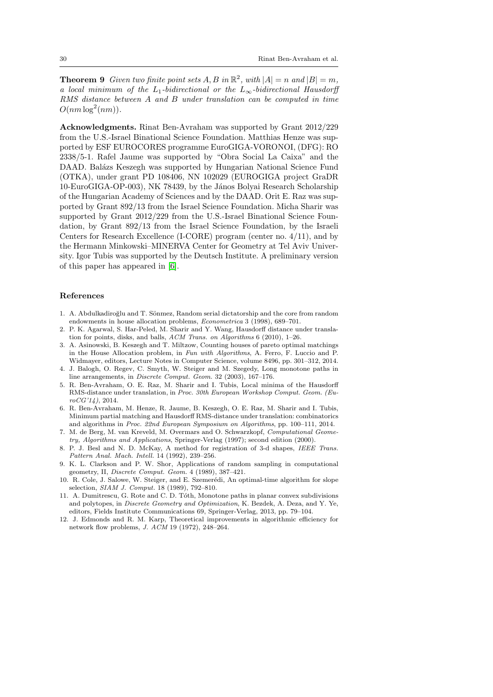**Theorem 9** Given two finite point sets  $A, B$  in  $\mathbb{R}^2$ , with  $|A| = n$  and  $|B| = m$ , a local minimum of the L<sub>1</sub>-bidirectional or the L<sub>∞</sub>-bidirectional Hausdorff RMS distance between A and B under translation can be computed in time  $O(nm \log^2(nm)).$ 

Acknowledgments. Rinat Ben-Avraham was supported by Grant 2012/229 from the U.S.-Israel Binational Science Foundation. Matthias Henze was supported by ESF EUROCORES programme EuroGIGA-VORONOI, (DFG): RO 2338/5-1. Rafel Jaume was supported by "Obra Social La Caixa" and the DAAD. Balázs Keszegh was supported by Hungarian National Science Fund (OTKA), under grant PD 108406, NN 102029 (EUROGIGA project GraDR 10-EuroGIGA-OP-003), NK 78439, by the János Bolyai Research Scholarship of the Hungarian Academy of Sciences and by the DAAD. Orit E. Raz was supported by Grant 892/13 from the Israel Science Foundation. Micha Sharir was supported by Grant 2012/229 from the U.S.-Israel Binational Science Foundation, by Grant 892/13 from the Israel Science Foundation, by the Israeli Centers for Research Excellence (I-CORE) program (center no. 4/11), and by the Hermann Minkowski–MINERVA Center for Geometry at Tel Aviv University. Igor Tubis was supported by the Deutsch Institute. A preliminary version of this paper has appeared in [\[6\]](#page-29-11).

### References

- <span id="page-29-6"></span>1. A. Abdulkadiroğlu and T. Sönmez, Random serial dictatorship and the core from random endowments in house allocation problems, Econometrica 3 (1998), 689–701.
- <span id="page-29-0"></span>2. P. K. Agarwal, S. Har-Peled, M. Sharir and Y. Wang, Hausdorff distance under translation for points, disks, and balls, ACM Trans. on Algorithms 6 (2010), 1–26.
- <span id="page-29-7"></span>3. A. Asinowski, B. Keszegh and T. Miltzow, Counting houses of pareto optimal matchings in the House Allocation problem, in Fun with Algorithms, A. Ferro, F. Luccio and P. Widmayer, editors, Lecture Notes in Computer Science, volume 8496, pp. 301–312, 2014.
- <span id="page-29-5"></span>4. J. Balogh, O. Regev, C. Smyth, W. Steiger and M. Szegedy, Long monotone paths in line arrangements, in Discrete Comput. Geom. 32 (2003), 167–176.
- <span id="page-29-3"></span>5. R. Ben-Avraham, O. E. Raz, M. Sharir and I. Tubis, Local minima of the Hausdorff RMS-distance under translation, in Proc. 30th European Workshop Comput. Geom. (Eu $roCG'14$ ), 2014.
- <span id="page-29-11"></span>6. R. Ben-Avraham, M. Henze, R. Jaume, B. Keszegh, O. E. Raz, M. Sharir and I. Tubis, Minimum partial matching and Hausdorff RMS-distance under translation: combinatorics and algorithms in Proc. 22nd European Symposium on Algorithms, pp. 100–111, 2014.
- <span id="page-29-4"></span>7. M. de Berg, M. van Kreveld, M. Overmars and O. Schwarzkopf, Computational Geometry, Algorithms and Applications, Springer-Verlag (1997); second edition (2000).
- <span id="page-29-2"></span>8. P. J. Besl and N. D. McKay, A method for registration of 3-d shapes, IEEE Trans. Pattern Anal. Mach. Intell. 14 (1992), 239–256.
- <span id="page-29-8"></span>9. K. L. Clarkson and P. W. Shor, Applications of random sampling in computational geometry, II, Discrete Comput. Geom. 4 (1989), 387–421.
- <span id="page-29-10"></span>10. R. Cole, J. Salowe, W. Steiger, and E. Szemerédi, An optimal-time algorithm for slope selection, SIAM J. Comput. 18 (1989), 792–810.
- <span id="page-29-1"></span>11. A. Dumitrescu, G. Rote and C. D. Tóth, Monotone paths in planar convex subdivisions and polytopes, in Discrete Geometry and Optimization, K. Bezdek, A. Deza, and Y. Ye, editors, Fields Institute Communications 69, Springer-Verlag, 2013, pp. 79–104.
- <span id="page-29-9"></span>12. J. Edmonds and R. M. Karp, Theoretical improvements in algorithmic efficiency for network flow problems, J. ACM 19 (1972), 248–264.